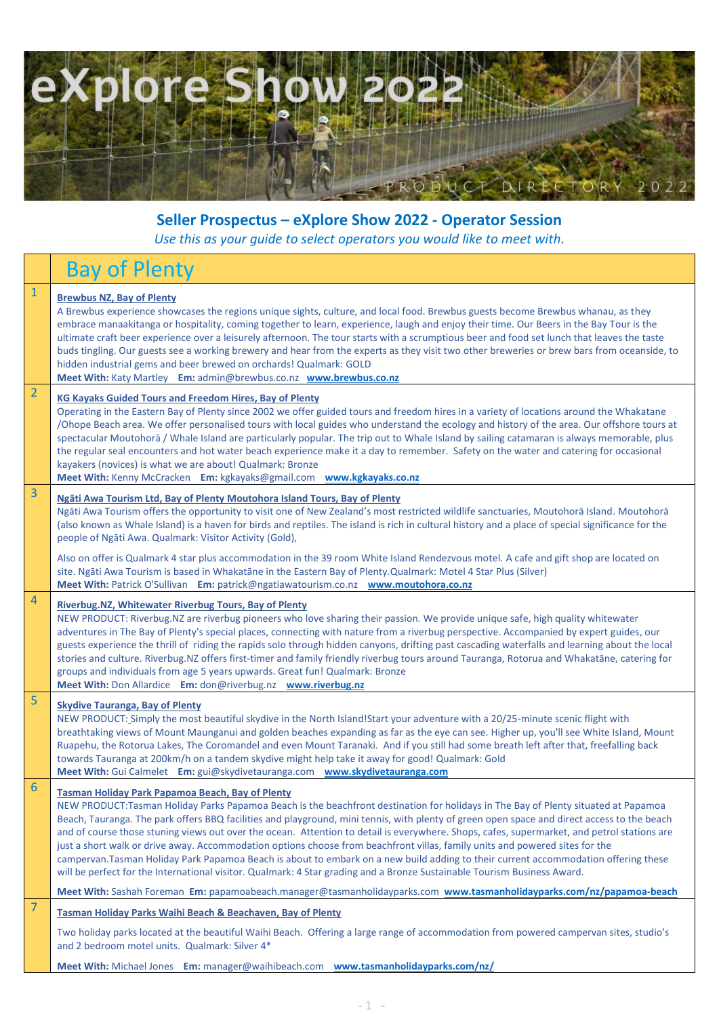

## **Seller Prospectus – eXplore Show 2022 - Operator Session**

*Use this as your guide to select operators you would like to meet with.*

|                | <b>Bay of Plenty</b>                                                                                                                                                                                                                                                                                                                                                                                                                                                                                                                                                                                                                                                                                                                                                                                                                                                                                                                                                                                                    |
|----------------|-------------------------------------------------------------------------------------------------------------------------------------------------------------------------------------------------------------------------------------------------------------------------------------------------------------------------------------------------------------------------------------------------------------------------------------------------------------------------------------------------------------------------------------------------------------------------------------------------------------------------------------------------------------------------------------------------------------------------------------------------------------------------------------------------------------------------------------------------------------------------------------------------------------------------------------------------------------------------------------------------------------------------|
| $\mathbf{1}$   | <b>Brewbus NZ, Bay of Plenty</b><br>A Brewbus experience showcases the regions unique sights, culture, and local food. Brewbus guests become Brewbus whanau, as they<br>embrace manaakitanga or hospitality, coming together to learn, experience, laugh and enjoy their time. Our Beers in the Bay Tour is the<br>ultimate craft beer experience over a leisurely afternoon. The tour starts with a scrumptious beer and food set lunch that leaves the taste<br>buds tingling. Our guests see a working brewery and hear from the experts as they visit two other breweries or brew bars from oceanside, to<br>hidden industrial gems and beer brewed on orchards! Qualmark: GOLD<br>Meet With: Katy Martley Em: admin@brewbus.co.nz www.brewbus.co.nz                                                                                                                                                                                                                                                                |
| $\overline{2}$ | <b>KG Kayaks Guided Tours and Freedom Hires, Bay of Plenty</b><br>Operating in the Eastern Bay of Plenty since 2002 we offer guided tours and freedom hires in a variety of locations around the Whakatane<br>/Ohope Beach area. We offer personalised tours with local guides who understand the ecology and history of the area. Our offshore tours at<br>spectacular Moutohora / Whale Island are particularly popular. The trip out to Whale Island by sailing catamaran is always memorable, plus<br>the regular seal encounters and hot water beach experience make it a day to remember. Safety on the water and catering for occasional<br>kayakers (novices) is what we are about! Qualmark: Bronze<br>Meet With: Kenny McCracken Em: kgkayaks@gmail.com www.kgkayaks.co.nz                                                                                                                                                                                                                                    |
| $\overline{3}$ | Ngāti Awa Tourism Ltd, Bay of Plenty Moutohora Island Tours, Bay of Plenty<br>Ngāti Awa Tourism offers the opportunity to visit one of New Zealand's most restricted wildlife sanctuaries, Moutohorā Island. Moutohorā<br>(also known as Whale Island) is a haven for birds and reptiles. The island is rich in cultural history and a place of special significance for the<br>people of Ngāti Awa. Qualmark: Visitor Activity (Gold),<br>Also on offer is Qualmark 4 star plus accommodation in the 39 room White Island Rendezvous motel. A cafe and gift shop are located on<br>site. Ngāti Awa Tourism is based in Whakatāne in the Eastern Bay of Plenty. Qualmark: Motel 4 Star Plus (Silver)                                                                                                                                                                                                                                                                                                                    |
|                | Meet With: Patrick O'Sullivan Em: patrick@ngatiawatourism.co.nz www.moutohora.co.nz                                                                                                                                                                                                                                                                                                                                                                                                                                                                                                                                                                                                                                                                                                                                                                                                                                                                                                                                     |
| 4              | Riverbug.NZ, Whitewater Riverbug Tours, Bay of Plenty<br>NEW PRODUCT: Riverbug.NZ are riverbug pioneers who love sharing their passion. We provide unique safe, high quality whitewater<br>adventures in The Bay of Plenty's special places, connecting with nature from a riverbug perspective. Accompanied by expert guides, our<br>guests experience the thrill of riding the rapids solo through hidden canyons, drifting past cascading waterfalls and learning about the local<br>stories and culture. Riverbug.NZ offers first-timer and family friendly riverbug tours around Tauranga, Rotorua and Whakatāne, catering for<br>groups and individuals from age 5 years upwards. Great fun! Qualmark: Bronze<br>Meet With: Don Allardice Em: don@riverbug.nz www.riverbug.nz                                                                                                                                                                                                                                     |
| 5              | <b>Skydive Tauranga, Bay of Plenty</b><br>NEW PRODUCT: Simply the most beautiful skydive in the North Island!Start your adventure with a 20/25-minute scenic flight with<br>breathtaking views of Mount Maunganui and golden beaches expanding as far as the eye can see. Higher up, you'll see White Island, Mount<br>Ruapehu, the Rotorua Lakes, The Coromandel and even Mount Taranaki. And if you still had some breath left after that, freefalling back<br>towards Tauranga at 200km/h on a tandem skydive might help take it away for good! Qualmark: Gold<br>Meet With: Gui Calmelet Em: gui@skydivetauranga.com www.skydivetauranga.com                                                                                                                                                                                                                                                                                                                                                                        |
| 6              | <b>Tasman Holiday Park Papamoa Beach, Bay of Plenty</b><br>NEW PRODUCT:Tasman Holiday Parks Papamoa Beach is the beachfront destination for holidays in The Bay of Plenty situated at Papamoa<br>Beach, Tauranga. The park offers BBQ facilities and playground, mini tennis, with plenty of green open space and direct access to the beach<br>and of course those stuning views out over the ocean. Attention to detail is everywhere. Shops, cafes, supermarket, and petrol stations are<br>just a short walk or drive away. Accommodation options choose from beachfront villas, family units and powered sites for the<br>campervan. Tasman Holiday Park Papamoa Beach is about to embark on a new build adding to their current accommodation offering these<br>will be perfect for the International visitor. Qualmark: 4 Star grading and a Bronze Sustainable Tourism Business Award.<br>Meet With: Sashah Foreman Em: papamoabeach.manager@tasmanholidayparks.com www.tasmanholidayparks.com/nz/papamoa-beach |
| $\overline{7}$ | Tasman Holiday Parks Waihi Beach & Beachaven, Bay of Plenty                                                                                                                                                                                                                                                                                                                                                                                                                                                                                                                                                                                                                                                                                                                                                                                                                                                                                                                                                             |
|                | Two holiday parks located at the beautiful Waihi Beach. Offering a large range of accommodation from powered campervan sites, studio's<br>and 2 bedroom motel units. Qualmark: Silver 4*                                                                                                                                                                                                                                                                                                                                                                                                                                                                                                                                                                                                                                                                                                                                                                                                                                |
|                | Meet With: Michael Jones Em: manager@waihibeach.com www.tasmanholidayparks.com/nz/                                                                                                                                                                                                                                                                                                                                                                                                                                                                                                                                                                                                                                                                                                                                                                                                                                                                                                                                      |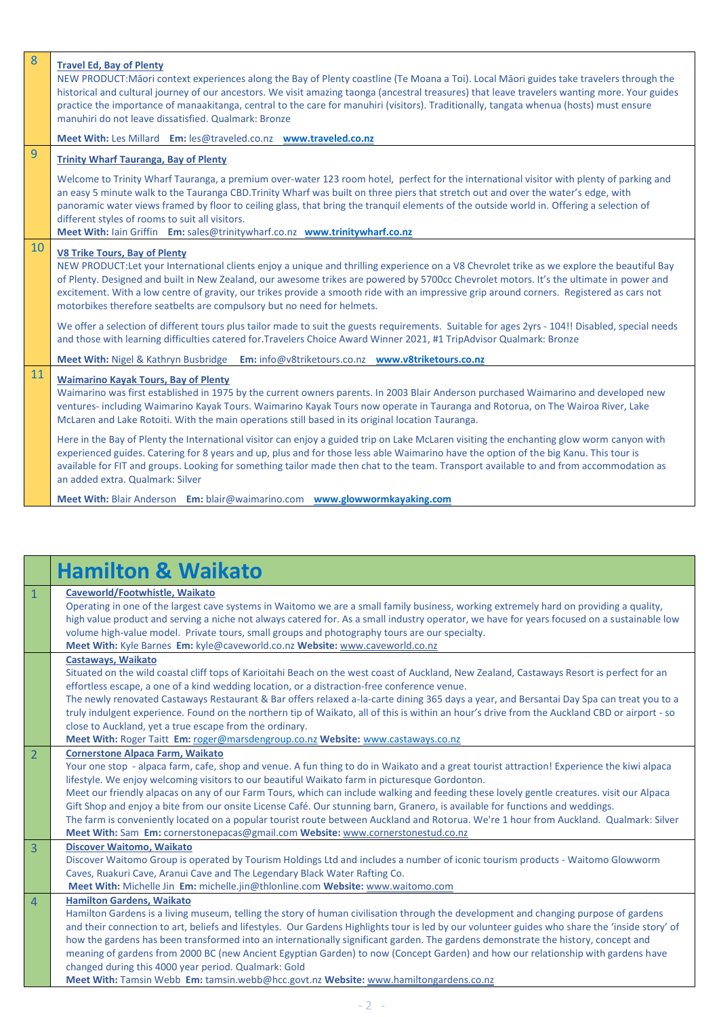| $\boldsymbol{8}$ | <b>Travel Ed, Bay of Plenty</b><br>NEW PRODUCT:Māori context experiences along the Bay of Plenty coastline (Te Moana a Toi). Local Māori guides take travelers through the<br>historical and cultural journey of our ancestors. We visit amazing taonga (ancestral treasures) that leave travelers wanting more. Your guides<br>practice the importance of manaakitanga, central to the care for manuhiri (visitors). Traditionally, tangata whenua (hosts) must ensure<br>manuhiri do not leave dissatisfied. Qualmark: Bronze                      |
|------------------|------------------------------------------------------------------------------------------------------------------------------------------------------------------------------------------------------------------------------------------------------------------------------------------------------------------------------------------------------------------------------------------------------------------------------------------------------------------------------------------------------------------------------------------------------|
|                  | Meet With: Les Millard Em: les@traveled.co.nz www.traveled.co.nz                                                                                                                                                                                                                                                                                                                                                                                                                                                                                     |
| 9                | <b>Trinity Wharf Tauranga, Bay of Plenty</b>                                                                                                                                                                                                                                                                                                                                                                                                                                                                                                         |
|                  | Welcome to Trinity Wharf Tauranga, a premium over-water 123 room hotel, perfect for the international visitor with plenty of parking and<br>an easy 5 minute walk to the Tauranga CBD. Trinity Wharf was built on three piers that stretch out and over the water's edge, with<br>panoramic water views framed by floor to ceiling glass, that bring the tranquil elements of the outside world in. Offering a selection of<br>different styles of rooms to suit all visitors.                                                                       |
| 10               | Meet With: Iain Griffin Em: sales@trinitywharf.co.nz www.trinitywharf.co.nz                                                                                                                                                                                                                                                                                                                                                                                                                                                                          |
|                  | <b>V8 Trike Tours, Bay of Plenty</b><br>NEW PRODUCT:Let your International clients enjoy a unique and thrilling experience on a V8 Chevrolet trike as we explore the beautiful Bay<br>of Plenty. Designed and built in New Zealand, our awesome trikes are powered by 5700cc Chevrolet motors. It's the ultimate in power and<br>excitement. With a low centre of gravity, our trikes provide a smooth ride with an impressive grip around corners. Registered as cars not<br>motorbikes therefore seatbelts are compulsory but no need for helmets. |
|                  | We offer a selection of different tours plus tailor made to suit the guests requirements. Suitable for ages 2yrs - 104!! Disabled, special needs<br>and those with learning difficulties catered for Travelers Choice Award Winner 2021, #1 TripAdvisor Qualmark: Bronze                                                                                                                                                                                                                                                                             |
|                  | Meet With: Nigel & Kathryn Busbridge Em: info@v8triketours.co.nz www.v8triketours.co.nz                                                                                                                                                                                                                                                                                                                                                                                                                                                              |
| 11               | <b>Waimarino Kayak Tours, Bay of Plenty</b><br>Waimarino was first established in 1975 by the current owners parents. In 2003 Blair Anderson purchased Waimarino and developed new<br>ventures- including Waimarino Kayak Tours. Waimarino Kayak Tours now operate in Tauranga and Rotorua, on The Wairoa River, Lake<br>McLaren and Lake Rotoiti. With the main operations still based in its original location Tauranga.                                                                                                                           |
|                  | Here in the Bay of Plenty the International visitor can enjoy a guided trip on Lake McLaren visiting the enchanting glow worm canyon with<br>experienced guides. Catering for 8 years and up, plus and for those less able Waimarino have the option of the big Kanu. This tour is<br>available for FIT and groups. Looking for something tailor made then chat to the team. Transport available to and from accommodation as<br>an added extra. Qualmark: Silver                                                                                    |
|                  | Meet With: Blair Anderson Em: blair@waimarino.com www.glowwormkayaking.com                                                                                                                                                                                                                                                                                                                                                                                                                                                                           |

|                | <b>Hamilton &amp; Waikato</b>                                                                                                                                                                                                                                                                                                                                                                                                                                                                                                                                                                                                                                                                                                                                                                       |
|----------------|-----------------------------------------------------------------------------------------------------------------------------------------------------------------------------------------------------------------------------------------------------------------------------------------------------------------------------------------------------------------------------------------------------------------------------------------------------------------------------------------------------------------------------------------------------------------------------------------------------------------------------------------------------------------------------------------------------------------------------------------------------------------------------------------------------|
| $\mathbf{1}$   | Caveworld/Footwhistle, Waikato<br>Operating in one of the largest cave systems in Waitomo we are a small family business, working extremely hard on providing a quality,<br>high value product and serving a niche not always catered for. As a small industry operator, we have for years focused on a sustainable low<br>volume high-value model. Private tours, small groups and photography tours are our specialty.<br>Meet With: Kyle Barnes Em: kyle@caveworld.co.nz Website: www.caveworld.co.nz                                                                                                                                                                                                                                                                                            |
|                | Castaways, Waikato<br>Situated on the wild coastal cliff tops of Karioitahi Beach on the west coast of Auckland, New Zealand, Castaways Resort is perfect for an<br>effortless escape, a one of a kind wedding location, or a distraction-free conference venue.<br>The newly renovated Castaways Restaurant & Bar offers relaxed a-la-carte dining 365 days a year, and Bersantai Day Spa can treat you to a<br>truly indulgent experience. Found on the northern tip of Waikato, all of this is within an hour's drive from the Auckland CBD or airport - so<br>close to Auckland, yet a true escape from the ordinary.<br>Meet With: Roger Taitt Em: roger@marsdengroup.co.nz Website: www.castaways.co.nz                                                                                       |
| 2              | <b>Cornerstone Alpaca Farm, Waikato</b><br>Your one stop - alpaca farm, cafe, shop and venue. A fun thing to do in Waikato and a great tourist attraction! Experience the kiwi alpaca<br>lifestyle. We enjoy welcoming visitors to our beautiful Waikato farm in picturesque Gordonton.<br>Meet our friendly alpacas on any of our Farm Tours, which can include walking and feeding these lovely gentle creatures. visit our Alpaca<br>Gift Shop and enjoy a bite from our onsite License Café. Our stunning barn, Granero, is available for functions and weddings.<br>The farm is conveniently located on a popular tourist route between Auckland and Rotorua. We're 1 hour from Auckland. Qualmark: Silver<br>Meet With: Sam Em: cornerstonepacas@gmail.com Website: www.cornerstonestud.co.nz |
| 3              | <b>Discover Waitomo, Waikato</b><br>Discover Waitomo Group is operated by Tourism Holdings Ltd and includes a number of iconic tourism products - Waitomo Glowworm<br>Caves, Ruakuri Cave, Aranui Cave and The Legendary Black Water Rafting Co.<br>Meet With: Michelle Jin Em: michelle.jin@thlonline.com Website: www.waitomo.com                                                                                                                                                                                                                                                                                                                                                                                                                                                                 |
| $\overline{4}$ | <b>Hamilton Gardens, Waikato</b><br>Hamilton Gardens is a living museum, telling the story of human civilisation through the development and changing purpose of gardens<br>and their connection to art, beliefs and lifestyles. Our Gardens Highlights tour is led by our volunteer guides who share the 'inside story' of<br>how the gardens has been transformed into an internationally significant garden. The gardens demonstrate the history, concept and<br>meaning of gardens from 2000 BC (new Ancient Egyptian Garden) to now (Concept Garden) and how our relationship with gardens have<br>changed during this 4000 year period. Qualmark: Gold<br>Meet With: Tamsin Webb Em: tamsin.webb@hcc.govt.nz Website: www.hamiltongardens.co.nz                                               |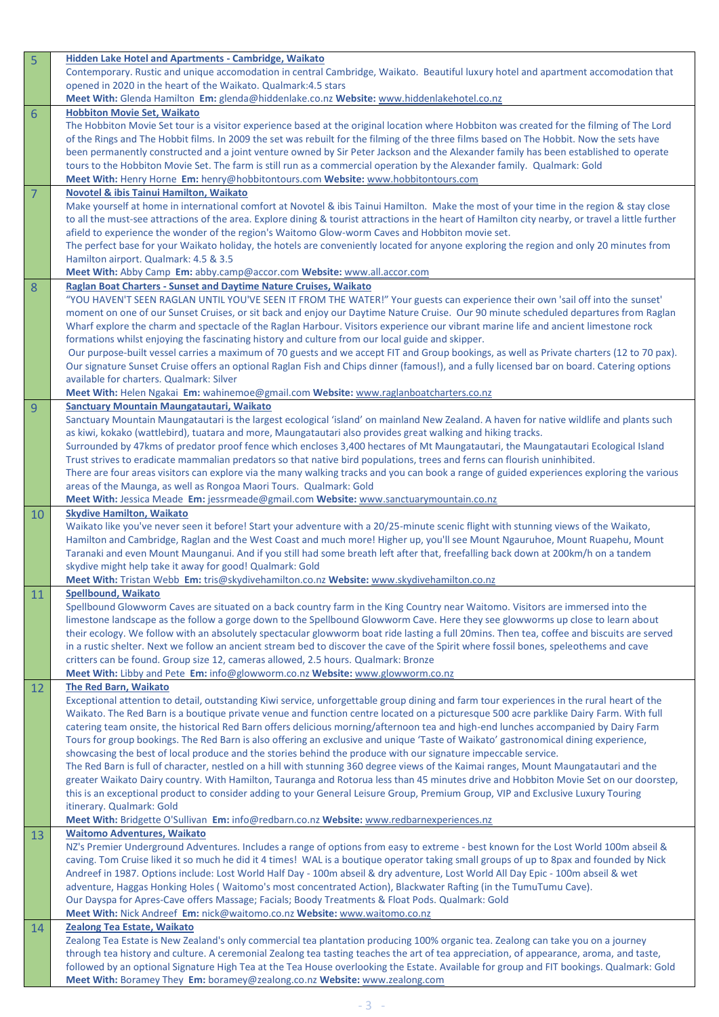| 5  | Hidden Lake Hotel and Apartments - Cambridge, Waikato                                                                                              |
|----|----------------------------------------------------------------------------------------------------------------------------------------------------|
|    | Contemporary. Rustic and unique accomodation in central Cambridge, Waikato. Beautiful luxury hotel and apartment accomodation that                 |
|    | opened in 2020 in the heart of the Waikato. Qualmark:4.5 stars                                                                                     |
|    | Meet With: Glenda Hamilton Em: glenda@hiddenlake.co.nz Website: www.hiddenlakehotel.co.nz                                                          |
| 6  | <b>Hobbiton Movie Set, Waikato</b>                                                                                                                 |
|    | The Hobbiton Movie Set tour is a visitor experience based at the original location where Hobbiton was created for the filming of The Lord          |
|    | of the Rings and The Hobbit films. In 2009 the set was rebuilt for the filming of the three films based on The Hobbit. Now the sets have           |
|    | been permanently constructed and a joint venture owned by Sir Peter Jackson and the Alexander family has been established to operate               |
|    | tours to the Hobbiton Movie Set. The farm is still run as a commercial operation by the Alexander family. Qualmark: Gold                           |
|    | Meet With: Henry Horne Em: henry@hobbitontours.com Website: www.hobbitontours.com                                                                  |
| 7  | Novotel & ibis Tainui Hamilton, Waikato                                                                                                            |
|    | Make yourself at home in international comfort at Novotel & ibis Tainui Hamilton. Make the most of your time in the region & stay close            |
|    | to all the must-see attractions of the area. Explore dining & tourist attractions in the heart of Hamilton city nearby, or travel a little further |
|    | afield to experience the wonder of the region's Waitomo Glow-worm Caves and Hobbiton movie set.                                                    |
|    | The perfect base for your Waikato holiday, the hotels are conveniently located for anyone exploring the region and only 20 minutes from            |
|    | Hamilton airport. Qualmark: 4.5 & 3.5                                                                                                              |
|    |                                                                                                                                                    |
|    | Meet With: Abby Camp Em: abby.camp@accor.com Website: www.all.accor.com                                                                            |
| 8  | Raglan Boat Charters - Sunset and Daytime Nature Cruises, Waikato                                                                                  |
|    | "YOU HAVEN'T SEEN RAGLAN UNTIL YOU'VE SEEN IT FROM THE WATER!" Your guests can experience their own 'sail off into the sunset'                     |
|    | moment on one of our Sunset Cruises, or sit back and enjoy our Daytime Nature Cruise. Our 90 minute scheduled departures from Raglan               |
|    | Wharf explore the charm and spectacle of the Raglan Harbour. Visitors experience our vibrant marine life and ancient limestone rock                |
|    | formations whilst enjoying the fascinating history and culture from our local guide and skipper.                                                   |
|    | Our purpose-built vessel carries a maximum of 70 guests and we accept FIT and Group bookings, as well as Private charters (12 to 70 pax).          |
|    | Our signature Sunset Cruise offers an optional Raglan Fish and Chips dinner (famous!), and a fully licensed bar on board. Catering options         |
|    | available for charters. Qualmark: Silver                                                                                                           |
|    | Meet With: Helen Ngakai Em: wahinemoe@gmail.com Website: www.raglanboatcharters.co.nz                                                              |
| 9  | <b>Sanctuary Mountain Maungatautari, Waikato</b>                                                                                                   |
|    | Sanctuary Mountain Maungatautari is the largest ecological 'island' on mainland New Zealand. A haven for native wildlife and plants such           |
|    | as kiwi, kokako (wattlebird), tuatara and more, Maungatautari also provides great walking and hiking tracks.                                       |
|    | Surrounded by 47kms of predator proof fence which encloses 3,400 hectares of Mt Maungatautari, the Maungatautari Ecological Island                 |
|    | Trust strives to eradicate mammalian predators so that native bird populations, trees and ferns can flourish uninhibited.                          |
|    | There are four areas visitors can explore via the many walking tracks and you can book a range of guided experiences exploring the various         |
|    | areas of the Maunga, as well as Rongoa Maori Tours. Qualmark: Gold                                                                                 |
|    | Meet With: Jessica Meade Em: jessrmeade@gmail.com Website: www.sanctuarymountain.co.nz                                                             |
| 10 | <b>Skydive Hamilton, Waikato</b>                                                                                                                   |
|    | Waikato like you've never seen it before! Start your adventure with a 20/25-minute scenic flight with stunning views of the Waikato,               |
|    | Hamilton and Cambridge, Raglan and the West Coast and much more! Higher up, you'll see Mount Ngauruhoe, Mount Ruapehu, Mount                       |
|    | Taranaki and even Mount Maunganui. And if you still had some breath left after that, freefalling back down at 200km/h on a tandem                  |
|    | skydive might help take it away for good! Qualmark: Gold                                                                                           |
|    | Meet With: Tristan Webb Em: tris@skydivehamilton.co.nz Website: www.skydivehamilton.co.nz                                                          |
|    | <b>Spellbound, Waikato</b>                                                                                                                         |
| 11 | Spellbound Glowworm Caves are situated on a back country farm in the King Country near Waitomo. Visitors are immersed into the                     |
|    |                                                                                                                                                    |
|    | limestone landscape as the follow a gorge down to the Spellbound Glowworm Cave. Here they see glowworms up close to learn about                    |
|    | their ecology. We follow with an absolutely spectacular glowworm boat ride lasting a full 20mins. Then tea, coffee and biscuits are served         |
|    | in a rustic shelter. Next we follow an ancient stream bed to discover the cave of the Spirit where fossil bones, speleothems and cave              |
|    | critters can be found. Group size 12, cameras allowed, 2.5 hours. Qualmark: Bronze                                                                 |
|    | Meet With: Libby and Pete Em: info@glowworm.co.nz Website: www.glowworm.co.nz                                                                      |
| 12 | The Red Barn, Waikato                                                                                                                              |
|    | Exceptional attention to detail, outstanding Kiwi service, unforgettable group dining and farm tour experiences in the rural heart of the          |
|    | Waikato. The Red Barn is a boutique private venue and function centre located on a picturesque 500 acre parklike Dairy Farm. With full             |
|    | catering team onsite, the historical Red Barn offers delicious morning/afternoon tea and high-end lunches accompanied by Dairy Farm                |
|    | Tours for group bookings. The Red Barn is also offering an exclusive and unique 'Taste of Waikato' gastronomical dining experience,                |
|    | showcasing the best of local produce and the stories behind the produce with our signature impeccable service.                                     |
|    | The Red Barn is full of character, nestled on a hill with stunning 360 degree views of the Kaimai ranges, Mount Maungatautari and the              |
|    | greater Waikato Dairy country. With Hamilton, Tauranga and Rotorua less than 45 minutes drive and Hobbiton Movie Set on our doorstep,              |
|    | this is an exceptional product to consider adding to your General Leisure Group, Premium Group, VIP and Exclusive Luxury Touring                   |
|    | itinerary. Qualmark: Gold                                                                                                                          |
|    | Meet With: Bridgette O'Sullivan Em: info@redbarn.co.nz Website: www.redbarnexperiences.nz                                                          |
| 13 | <b>Waitomo Adventures, Waikato</b>                                                                                                                 |
|    | NZ's Premier Underground Adventures. Includes a range of options from easy to extreme - best known for the Lost World 100m abseil &                |
|    | caving. Tom Cruise liked it so much he did it 4 times! WAL is a boutique operator taking small groups of up to 8pax and founded by Nick            |
|    | Andreef in 1987. Options include: Lost World Half Day - 100m abseil & dry adventure, Lost World All Day Epic - 100m abseil & wet                   |
|    | adventure, Haggas Honking Holes (Waitomo's most concentrated Action), Blackwater Rafting (in the TumuTumu Cave).                                   |
|    | Our Dayspa for Apres-Cave offers Massage; Facials; Boody Treatments & Float Pods. Qualmark: Gold                                                   |
|    | Meet With: Nick Andreef Em: nick@waitomo.co.nz Website: www.waitomo.co.nz                                                                          |
|    | Zealong Tea Estate, Waikato                                                                                                                        |
| 14 | Zealong Tea Estate is New Zealand's only commercial tea plantation producing 100% organic tea. Zealong can take you on a journey                   |
|    | through tea history and culture. A ceremonial Zealong tea tasting teaches the art of tea appreciation, of appearance, aroma, and taste,            |
|    | followed by an optional Signature High Tea at the Tea House overlooking the Estate. Available for group and FIT bookings. Qualmark: Gold           |
|    | Meet With: Boramey They Em: boramey@zealong.co.nz Website: www.zealong.com                                                                         |
|    |                                                                                                                                                    |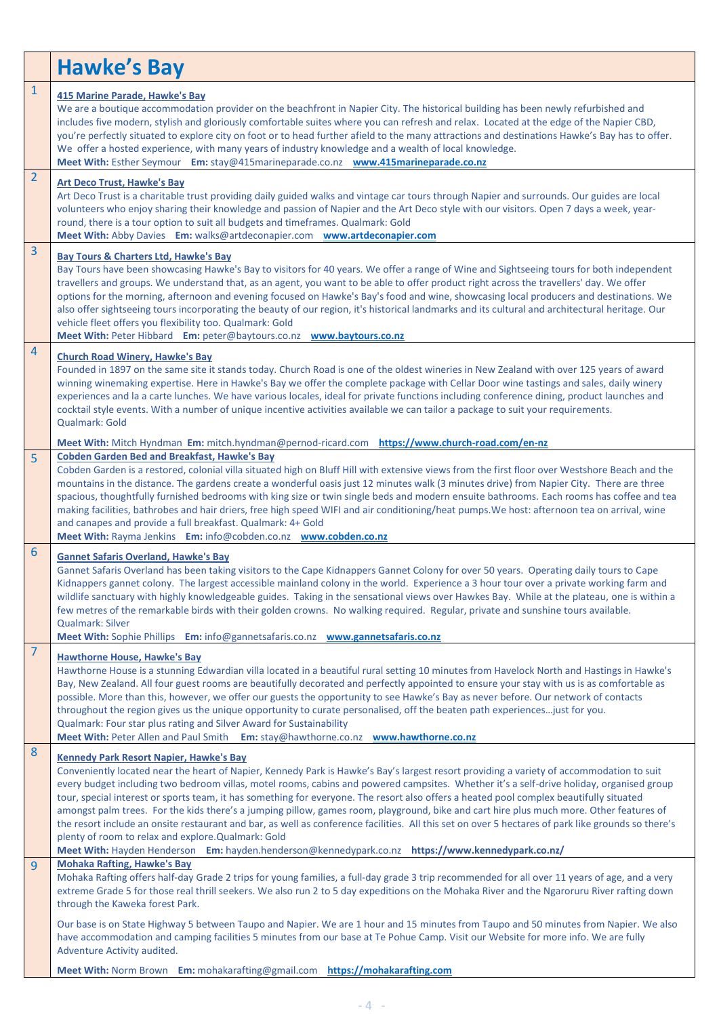|                | <b>Hawke's Bay</b>                                                                                                                                                                                                                                                                                                                                                                                                                                                                                                                                                                                                                                                                                                                                                                                                                                                                                                                             |
|----------------|------------------------------------------------------------------------------------------------------------------------------------------------------------------------------------------------------------------------------------------------------------------------------------------------------------------------------------------------------------------------------------------------------------------------------------------------------------------------------------------------------------------------------------------------------------------------------------------------------------------------------------------------------------------------------------------------------------------------------------------------------------------------------------------------------------------------------------------------------------------------------------------------------------------------------------------------|
| $\mathbf{1}$   | 415 Marine Parade, Hawke's Bay<br>We are a boutique accommodation provider on the beachfront in Napier City. The historical building has been newly refurbished and<br>includes five modern, stylish and gloriously comfortable suites where you can refresh and relax. Located at the edge of the Napier CBD,<br>you're perfectly situated to explore city on foot or to head further afield to the many attractions and destinations Hawke's Bay has to offer.<br>We offer a hosted experience, with many years of industry knowledge and a wealth of local knowledge.<br>Meet With: Esther Seymour Em: stay@415marineparade.co.nz www.415marineparade.co.nz                                                                                                                                                                                                                                                                                 |
| $\overline{2}$ | <b>Art Deco Trust, Hawke's Bay</b><br>Art Deco Trust is a charitable trust providing daily guided walks and vintage car tours through Napier and surrounds. Our guides are local<br>volunteers who enjoy sharing their knowledge and passion of Napier and the Art Deco style with our visitors. Open 7 days a week, year-<br>round, there is a tour option to suit all budgets and timeframes. Qualmark: Gold<br>Meet With: Abby Davies Em: walks@artdeconapier.com www.artdeconapier.com                                                                                                                                                                                                                                                                                                                                                                                                                                                     |
| 3              | <b>Bay Tours &amp; Charters Ltd, Hawke's Bay</b><br>Bay Tours have been showcasing Hawke's Bay to visitors for 40 years. We offer a range of Wine and Sightseeing tours for both independent<br>travellers and groups. We understand that, as an agent, you want to be able to offer product right across the travellers' day. We offer<br>options for the morning, afternoon and evening focused on Hawke's Bay's food and wine, showcasing local producers and destinations. We<br>also offer sightseeing tours incorporating the beauty of our region, it's historical landmarks and its cultural and architectural heritage. Our<br>vehicle fleet offers you flexibility too. Qualmark: Gold<br>Meet With: Peter Hibbard Em: peter@baytours.co.nz www.baytours.co.nz                                                                                                                                                                       |
| 4              | <b>Church Road Winery, Hawke's Bay</b><br>Founded in 1897 on the same site it stands today. Church Road is one of the oldest wineries in New Zealand with over 125 years of award<br>winning winemaking expertise. Here in Hawke's Bay we offer the complete package with Cellar Door wine tastings and sales, daily winery<br>experiences and la a carte lunches. We have various locales, ideal for private functions including conference dining, product launches and<br>cocktail style events. With a number of unique incentive activities available we can tailor a package to suit your requirements.<br>Qualmark: Gold                                                                                                                                                                                                                                                                                                                |
| 5.             | Meet With: Mitch Hyndman Em: mitch.hyndman@pernod-ricard.com https://www.church-road.com/en-nz<br><b>Cobden Garden Bed and Breakfast, Hawke's Bay</b><br>Cobden Garden is a restored, colonial villa situated high on Bluff Hill with extensive views from the first floor over Westshore Beach and the<br>mountains in the distance. The gardens create a wonderful oasis just 12 minutes walk (3 minutes drive) from Napier City. There are three<br>spacious, thoughtfully furnished bedrooms with king size or twin single beds and modern ensuite bathrooms. Each rooms has coffee and tea<br>making facilities, bathrobes and hair driers, free high speed WIFI and air conditioning/heat pumps. We host: afternoon tea on arrival, wine<br>and canapes and provide a full breakfast. Qualmark: 4+ Gold<br>Meet With: Rayma Jenkins Em: info@cobden.co.nz www.cobden.co.nz                                                               |
| 6              | <b>Gannet Safaris Overland, Hawke's Bay</b><br>Gannet Safaris Overland has been taking visitors to the Cape Kidnappers Gannet Colony for over 50 years. Operating daily tours to Cape<br>Kidnappers gannet colony. The largest accessible mainland colony in the world. Experience a 3 hour tour over a private working farm and<br>wildlife sanctuary with highly knowledgeable guides. Taking in the sensational views over Hawkes Bay. While at the plateau, one is within a<br>few metres of the remarkable birds with their golden crowns. No walking required. Regular, private and sunshine tours available.<br><b>Qualmark: Silver</b><br>Meet With: Sophie Phillips Em: info@gannetsafaris.co.nz www.gannetsafaris.co.nz                                                                                                                                                                                                              |
| $\overline{7}$ | <b>Hawthorne House, Hawke's Bay</b><br>Hawthorne House is a stunning Edwardian villa located in a beautiful rural setting 10 minutes from Havelock North and Hastings in Hawke's<br>Bay, New Zealand. All four guest rooms are beautifully decorated and perfectly appointed to ensure your stay with us is as comfortable as<br>possible. More than this, however, we offer our guests the opportunity to see Hawke's Bay as never before. Our network of contacts<br>throughout the region gives us the unique opportunity to curate personalised, off the beaten path experiencesjust for you.<br>Qualmark: Four star plus rating and Silver Award for Sustainability<br>Meet With: Peter Allen and Paul Smith Em: stay@hawthorne.co.nz www.hawthorne.co.nz                                                                                                                                                                                 |
| 8              | <b>Kennedy Park Resort Napier, Hawke's Bay</b><br>Conveniently located near the heart of Napier, Kennedy Park is Hawke's Bay's largest resort providing a variety of accommodation to suit<br>every budget including two bedroom villas, motel rooms, cabins and powered campsites. Whether it's a self-drive holiday, organised group<br>tour, special interest or sports team, it has something for everyone. The resort also offers a heated pool complex beautifully situated<br>amongst palm trees. For the kids there's a jumping pillow, games room, playground, bike and cart hire plus much more. Other features of<br>the resort include an onsite restaurant and bar, as well as conference facilities. All this set on over 5 hectares of park like grounds so there's<br>plenty of room to relax and explore. Qualmark: Gold<br>Meet With: Hayden Henderson Em: hayden.henderson@kennedypark.co.nz https://www.kennedypark.co.nz/ |
| 9              | <b>Mohaka Rafting, Hawke's Bay</b><br>Mohaka Rafting offers half-day Grade 2 trips for young families, a full-day grade 3 trip recommended for all over 11 years of age, and a very<br>extreme Grade 5 for those real thrill seekers. We also run 2 to 5 day expeditions on the Mohaka River and the Ngaroruru River rafting down<br>through the Kaweka forest Park.                                                                                                                                                                                                                                                                                                                                                                                                                                                                                                                                                                           |
|                | Our base is on State Highway 5 between Taupo and Napier. We are 1 hour and 15 minutes from Taupo and 50 minutes from Napier. We also<br>have accommodation and camping facilities 5 minutes from our base at Te Pohue Camp. Visit our Website for more info. We are fully<br>Adventure Activity audited.<br>Meet With: Norm Brown Em: mohakarafting@gmail.com https://mohakarafting.com                                                                                                                                                                                                                                                                                                                                                                                                                                                                                                                                                        |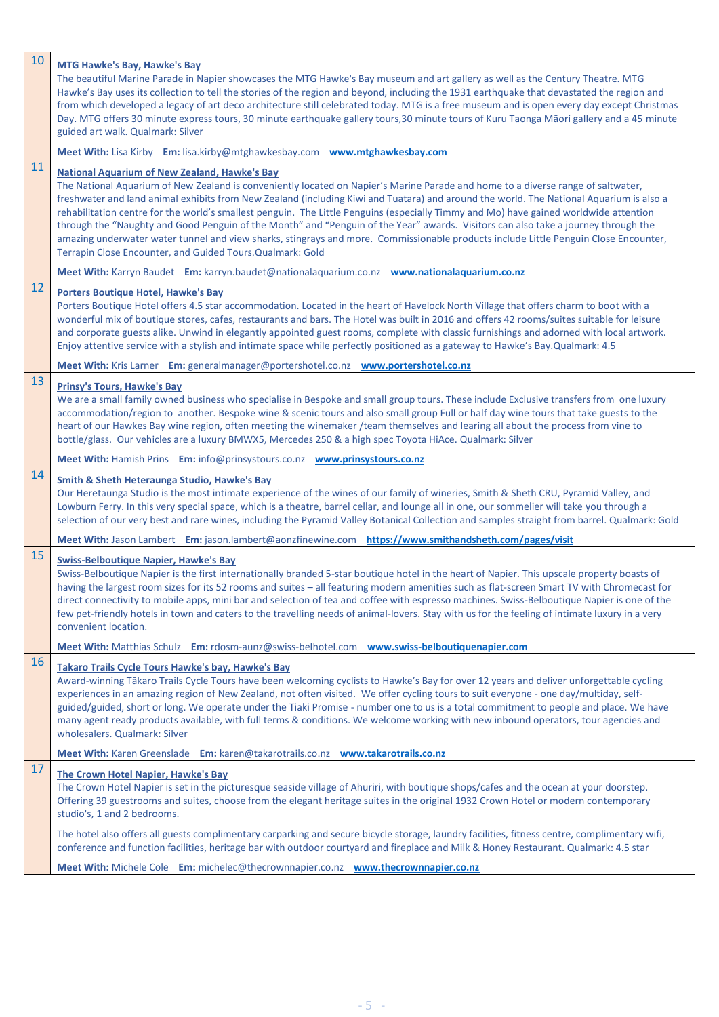| 10        | <b>MTG Hawke's Bay, Hawke's Bay</b><br>The beautiful Marine Parade in Napier showcases the MTG Hawke's Bay museum and art gallery as well as the Century Theatre. MTG<br>Hawke's Bay uses its collection to tell the stories of the region and beyond, including the 1931 earthquake that devastated the region and<br>from which developed a legacy of art deco architecture still celebrated today. MTG is a free museum and is open every day except Christmas<br>Day. MTG offers 30 minute express tours, 30 minute earthquake gallery tours, 30 minute tours of Kuru Taonga Māori gallery and a 45 minute<br>guided art walk. Qualmark: Silver                                                                                                                                                                                                                                                                      |
|-----------|--------------------------------------------------------------------------------------------------------------------------------------------------------------------------------------------------------------------------------------------------------------------------------------------------------------------------------------------------------------------------------------------------------------------------------------------------------------------------------------------------------------------------------------------------------------------------------------------------------------------------------------------------------------------------------------------------------------------------------------------------------------------------------------------------------------------------------------------------------------------------------------------------------------------------|
|           | Meet With: Lisa Kirby Em: lisa.kirby@mtghawkesbay.com www.mtghawkesbay.com                                                                                                                                                                                                                                                                                                                                                                                                                                                                                                                                                                                                                                                                                                                                                                                                                                               |
| <b>11</b> | <b>National Aquarium of New Zealand, Hawke's Bay</b><br>The National Aquarium of New Zealand is conveniently located on Napier's Marine Parade and home to a diverse range of saltwater,<br>freshwater and land animal exhibits from New Zealand (including Kiwi and Tuatara) and around the world. The National Aquarium is also a<br>rehabilitation centre for the world's smallest penguin. The Little Penguins (especially Timmy and Mo) have gained worldwide attention<br>through the "Naughty and Good Penguin of the Month" and "Penguin of the Year" awards. Visitors can also take a journey through the<br>amazing underwater water tunnel and view sharks, stingrays and more. Commissionable products include Little Penguin Close Encounter,<br>Terrapin Close Encounter, and Guided Tours. Qualmark: Gold<br>Meet With: Karryn Baudet Em: karryn.baudet@nationalaquarium.co.nz www.nationalaquarium.co.nz |
| 12        |                                                                                                                                                                                                                                                                                                                                                                                                                                                                                                                                                                                                                                                                                                                                                                                                                                                                                                                          |
|           | <b>Porters Boutique Hotel, Hawke's Bay</b><br>Porters Boutique Hotel offers 4.5 star accommodation. Located in the heart of Havelock North Village that offers charm to boot with a<br>wonderful mix of boutique stores, cafes, restaurants and bars. The Hotel was built in 2016 and offers 42 rooms/suites suitable for leisure<br>and corporate guests alike. Unwind in elegantly appointed guest rooms, complete with classic furnishings and adorned with local artwork.<br>Enjoy attentive service with a stylish and intimate space while perfectly positioned as a gateway to Hawke's Bay.Qualmark: 4.5                                                                                                                                                                                                                                                                                                          |
|           | Meet With: Kris Larner Em: generalmanager@portershotel.co.nz www.portershotel.co.nz                                                                                                                                                                                                                                                                                                                                                                                                                                                                                                                                                                                                                                                                                                                                                                                                                                      |
| 13        | <b>Prinsy's Tours, Hawke's Bay</b><br>We are a small family owned business who specialise in Bespoke and small group tours. These include Exclusive transfers from one luxury<br>accommodation/region to another. Bespoke wine & scenic tours and also small group Full or half day wine tours that take guests to the<br>heart of our Hawkes Bay wine region, often meeting the winemaker /team themselves and learing all about the process from vine to<br>bottle/glass. Our vehicles are a luxury BMWX5, Mercedes 250 & a high spec Toyota HiAce. Qualmark: Silver                                                                                                                                                                                                                                                                                                                                                   |
|           | Meet With: Hamish Prins Em: info@prinsystours.co.nz www.prinsystours.co.nz                                                                                                                                                                                                                                                                                                                                                                                                                                                                                                                                                                                                                                                                                                                                                                                                                                               |
| 14        | Smith & Sheth Heteraunga Studio, Hawke's Bay<br>Our Heretaunga Studio is the most intimate experience of the wines of our family of wineries, Smith & Sheth CRU, Pyramid Valley, and<br>Lowburn Ferry. In this very special space, which is a theatre, barrel cellar, and lounge all in one, our sommelier will take you through a<br>selection of our very best and rare wines, including the Pyramid Valley Botanical Collection and samples straight from barrel. Qualmark: Gold                                                                                                                                                                                                                                                                                                                                                                                                                                      |
|           | Meet With: Jason Lambert Em: jason.lambert@aonzfinewine.com https://www.smithandsheth.com/pages/visit                                                                                                                                                                                                                                                                                                                                                                                                                                                                                                                                                                                                                                                                                                                                                                                                                    |
| 15        | <b>Swiss-Belboutique Napier, Hawke's Bay</b><br>Swiss-Belboutique Napier is the first internationally branded 5-star boutique hotel in the heart of Napier. This upscale property boasts of<br>having the largest room sizes for its 52 rooms and suites - all featuring modern amenities such as flat-screen Smart TV with Chromecast for<br>direct connectivity to mobile apps, mini bar and selection of tea and coffee with espresso machines. Swiss-Belboutique Napier is one of the<br>few pet-friendly hotels in town and caters to the travelling needs of animal-lovers. Stay with us for the feeling of intimate luxury in a very<br>convenient location.                                                                                                                                                                                                                                                      |
|           | Meet With: Matthias Schulz Em: rdosm-aunz@swiss-belhotel.com www.swiss-belboutiquenapier.com                                                                                                                                                                                                                                                                                                                                                                                                                                                                                                                                                                                                                                                                                                                                                                                                                             |
| 16        | Takaro Trails Cycle Tours Hawke's bay, Hawke's Bay<br>Award-winning Tākaro Trails Cycle Tours have been welcoming cyclists to Hawke's Bay for over 12 years and deliver unforgettable cycling<br>experiences in an amazing region of New Zealand, not often visited. We offer cycling tours to suit everyone - one day/multiday, self-<br>guided/guided, short or long. We operate under the Tiaki Promise - number one to us is a total commitment to people and place. We have<br>many agent ready products available, with full terms & conditions. We welcome working with new inbound operators, tour agencies and<br>wholesalers. Qualmark: Silver                                                                                                                                                                                                                                                                 |
|           | Meet With: Karen Greenslade Em: karen@takarotrails.co.nz www.takarotrails.co.nz                                                                                                                                                                                                                                                                                                                                                                                                                                                                                                                                                                                                                                                                                                                                                                                                                                          |
| 17        | The Crown Hotel Napier, Hawke's Bay<br>The Crown Hotel Napier is set in the picturesque seaside village of Ahuriri, with boutique shops/cafes and the ocean at your doorstep.<br>Offering 39 guestrooms and suites, choose from the elegant heritage suites in the original 1932 Crown Hotel or modern contemporary<br>studio's, 1 and 2 bedrooms.                                                                                                                                                                                                                                                                                                                                                                                                                                                                                                                                                                       |
|           | The hotel also offers all guests complimentary carparking and secure bicycle storage, laundry facilities, fitness centre, complimentary wifi,<br>conference and function facilities, heritage bar with outdoor courtyard and fireplace and Milk & Honey Restaurant. Qualmark: 4.5 star                                                                                                                                                                                                                                                                                                                                                                                                                                                                                                                                                                                                                                   |
|           | Meet With: Michele Cole Em: michelec@thecrownnapier.co.nz www.thecrownnapier.co.nz                                                                                                                                                                                                                                                                                                                                                                                                                                                                                                                                                                                                                                                                                                                                                                                                                                       |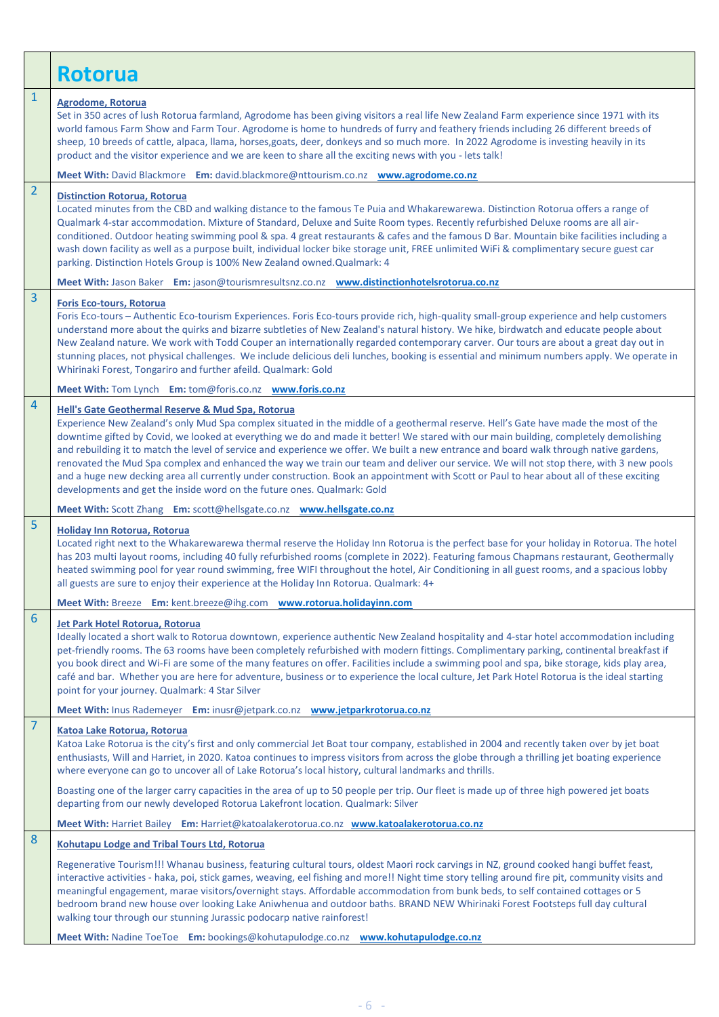|                | <b>Rotorua</b>                                                                                                                                                                                                                                                                                                                                                                                                                                                                                                                                                                                                                                                                                                                                                                                                                               |
|----------------|----------------------------------------------------------------------------------------------------------------------------------------------------------------------------------------------------------------------------------------------------------------------------------------------------------------------------------------------------------------------------------------------------------------------------------------------------------------------------------------------------------------------------------------------------------------------------------------------------------------------------------------------------------------------------------------------------------------------------------------------------------------------------------------------------------------------------------------------|
| $\mathbf{1}$   | Agrodome, Rotorua<br>Set in 350 acres of lush Rotorua farmland, Agrodome has been giving visitors a real life New Zealand Farm experience since 1971 with its<br>world famous Farm Show and Farm Tour. Agrodome is home to hundreds of furry and feathery friends including 26 different breeds of<br>sheep, 10 breeds of cattle, alpaca, llama, horses,goats, deer, donkeys and so much more. In 2022 Agrodome is investing heavily in its<br>product and the visitor experience and we are keen to share all the exciting news with you - lets talk!                                                                                                                                                                                                                                                                                       |
|                | Meet With: David Blackmore Em: david.blackmore@nttourism.co.nz www.agrodome.co.nz                                                                                                                                                                                                                                                                                                                                                                                                                                                                                                                                                                                                                                                                                                                                                            |
| $\overline{2}$ | <b>Distinction Rotorua, Rotorua</b><br>Located minutes from the CBD and walking distance to the famous Te Puia and Whakarewarewa. Distinction Rotorua offers a range of<br>Qualmark 4-star accommodation. Mixture of Standard, Deluxe and Suite Room types. Recently refurbished Deluxe rooms are all air-<br>conditioned. Outdoor heating swimming pool & spa. 4 great restaurants & cafes and the famous D Bar. Mountain bike facilities including a<br>wash down facility as well as a purpose built, individual locker bike storage unit, FREE unlimited WiFi & complimentary secure guest car<br>parking. Distinction Hotels Group is 100% New Zealand owned. Qualmark: 4                                                                                                                                                               |
|                | Meet With: Jason Baker Em: jason@tourismresultsnz.co.nz www.distinctionhotelsrotorua.co.nz                                                                                                                                                                                                                                                                                                                                                                                                                                                                                                                                                                                                                                                                                                                                                   |
| 3              | <b>Foris Eco-tours, Rotorua</b><br>Foris Eco-tours - Authentic Eco-tourism Experiences. Foris Eco-tours provide rich, high-quality small-group experience and help customers<br>understand more about the quirks and bizarre subtleties of New Zealand's natural history. We hike, birdwatch and educate people about<br>New Zealand nature. We work with Todd Couper an internationally regarded contemporary carver. Our tours are about a great day out in<br>stunning places, not physical challenges. We include delicious deli lunches, booking is essential and minimum numbers apply. We operate in<br>Whirinaki Forest, Tongariro and further afeild. Qualmark: Gold                                                                                                                                                                |
|                | Meet With: Tom Lynch Em: tom@foris.co.nz www.foris.co.nz                                                                                                                                                                                                                                                                                                                                                                                                                                                                                                                                                                                                                                                                                                                                                                                     |
| 4              | Hell's Gate Geothermal Reserve & Mud Spa, Rotorua<br>Experience New Zealand's only Mud Spa complex situated in the middle of a geothermal reserve. Hell's Gate have made the most of the<br>downtime gifted by Covid, we looked at everything we do and made it better! We stared with our main building, completely demolishing<br>and rebuilding it to match the level of service and experience we offer. We built a new entrance and board walk through native gardens,<br>renovated the Mud Spa complex and enhanced the way we train our team and deliver our service. We will not stop there, with 3 new pools<br>and a huge new decking area all currently under construction. Book an appointment with Scott or Paul to hear about all of these exciting<br>developments and get the inside word on the future ones. Qualmark: Gold |
|                | Meet With: Scott Zhang Em: scott@hellsgate.co.nz www.hellsgate.co.nz                                                                                                                                                                                                                                                                                                                                                                                                                                                                                                                                                                                                                                                                                                                                                                         |
| 5              | Holiday Inn Rotorua, Rotorua<br>Located right next to the Whakarewarewa thermal reserve the Holiday Inn Rotorua is the perfect base for your holiday in Rotorua. The hotel<br>has 203 multi layout rooms, including 40 fully refurbished rooms (complete in 2022). Featuring famous Chapmans restaurant, Geothermally<br>heated swimming pool for year round swimming, free WIFI throughout the hotel, Air Conditioning in all guest rooms, and a spacious lobby<br>all guests are sure to enjoy their experience at the Holiday Inn Rotorua. Qualmark: 4+                                                                                                                                                                                                                                                                                   |
|                | Meet With: Breeze Em: kent.breeze@ihg.com www.rotorua.holidayinn.com                                                                                                                                                                                                                                                                                                                                                                                                                                                                                                                                                                                                                                                                                                                                                                         |
| 6              | Jet Park Hotel Rotorua, Rotorua<br>Ideally located a short walk to Rotorua downtown, experience authentic New Zealand hospitality and 4-star hotel accommodation including<br>pet-friendly rooms. The 63 rooms have been completely refurbished with modern fittings. Complimentary parking, continental breakfast if<br>you book direct and Wi-Fi are some of the many features on offer. Facilities include a swimming pool and spa, bike storage, kids play area,<br>café and bar. Whether you are here for adventure, business or to experience the local culture, Jet Park Hotel Rotorua is the ideal starting<br>point for your journey. Qualmark: 4 Star Silver                                                                                                                                                                       |
|                | Meet With: Inus Rademeyer Em: inusr@jetpark.co.nz www.jetparkrotorua.co.nz                                                                                                                                                                                                                                                                                                                                                                                                                                                                                                                                                                                                                                                                                                                                                                   |
| $\overline{7}$ | Katoa Lake Rotorua, Rotorua<br>Katoa Lake Rotorua is the city's first and only commercial Jet Boat tour company, established in 2004 and recently taken over by jet boat<br>enthusiasts, Will and Harriet, in 2020. Katoa continues to impress visitors from across the globe through a thrilling jet boating experience<br>where everyone can go to uncover all of Lake Rotorua's local history, cultural landmarks and thrills.<br>Boasting one of the larger carry capacities in the area of up to 50 people per trip. Our fleet is made up of three high powered jet boats                                                                                                                                                                                                                                                               |
|                | departing from our newly developed Rotorua Lakefront location. Qualmark: Silver                                                                                                                                                                                                                                                                                                                                                                                                                                                                                                                                                                                                                                                                                                                                                              |
| 8              | Meet With: Harriet Bailey Em: Harriet@katoalakerotorua.co.nz www.katoalakerotorua.co.nz                                                                                                                                                                                                                                                                                                                                                                                                                                                                                                                                                                                                                                                                                                                                                      |
|                | Kohutapu Lodge and Tribal Tours Ltd, Rotorua<br>Regenerative Tourism!!! Whanau business, featuring cultural tours, oldest Maori rock carvings in NZ, ground cooked hangi buffet feast,<br>interactive activities - haka, poi, stick games, weaving, eel fishing and more!! Night time story telling around fire pit, community visits and<br>meaningful engagement, marae visitors/overnight stays. Affordable accommodation from bunk beds, to self contained cottages or 5<br>bedroom brand new house over looking Lake Aniwhenua and outdoor baths. BRAND NEW Whirinaki Forest Footsteps full day cultural<br>walking tour through our stunning Jurassic podocarp native rainforest!                                                                                                                                                      |
|                | Meet With: Nadine ToeToe Em: bookings@kohutapulodge.co.nz www.kohutapulodge.co.nz                                                                                                                                                                                                                                                                                                                                                                                                                                                                                                                                                                                                                                                                                                                                                            |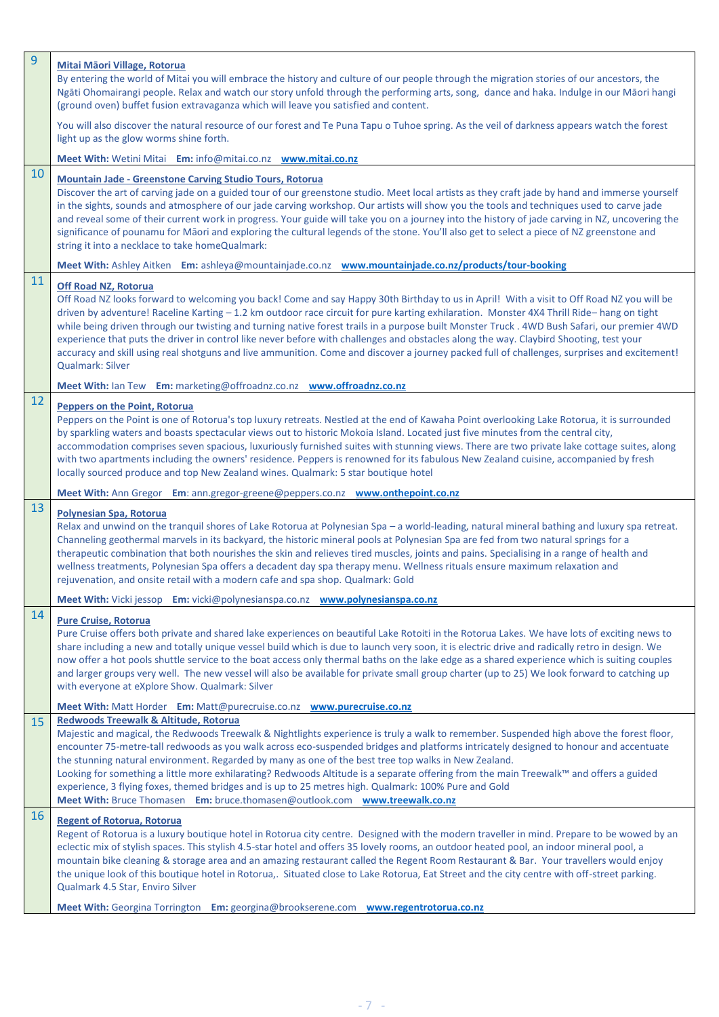| $\overline{9}$ | <b>Mitai Mäori Village, Rotorua</b><br>By entering the world of Mitai you will embrace the history and culture of our people through the migration stories of our ancestors, the<br>Ngāti Ohomairangi people. Relax and watch our story unfold through the performing arts, song, dance and haka. Indulge in our Māori hangi<br>(ground oven) buffet fusion extravaganza which will leave you satisfied and content.                                                                                                                                                                                                                                                                                                                                                                                                                               |
|----------------|----------------------------------------------------------------------------------------------------------------------------------------------------------------------------------------------------------------------------------------------------------------------------------------------------------------------------------------------------------------------------------------------------------------------------------------------------------------------------------------------------------------------------------------------------------------------------------------------------------------------------------------------------------------------------------------------------------------------------------------------------------------------------------------------------------------------------------------------------|
|                | You will also discover the natural resource of our forest and Te Puna Tapu o Tuhoe spring. As the veil of darkness appears watch the forest<br>light up as the glow worms shine forth.                                                                                                                                                                                                                                                                                                                                                                                                                                                                                                                                                                                                                                                             |
|                | Meet With: Wetini Mitai Em: info@mitai.co.nz www.mitai.co.nz                                                                                                                                                                                                                                                                                                                                                                                                                                                                                                                                                                                                                                                                                                                                                                                       |
| 10             | Mountain Jade - Greenstone Carving Studio Tours, Rotorua<br>Discover the art of carving jade on a guided tour of our greenstone studio. Meet local artists as they craft jade by hand and immerse yourself<br>in the sights, sounds and atmosphere of our jade carving workshop. Our artists will show you the tools and techniques used to carve jade<br>and reveal some of their current work in progress. Your guide will take you on a journey into the history of jade carving in NZ, uncovering the<br>significance of pounamu for Māori and exploring the cultural legends of the stone. You'll also get to select a piece of NZ greenstone and<br>string it into a necklace to take homeQualmark:                                                                                                                                          |
|                | Meet With: Ashley Aitken Em: ashleya@mountainjade.co.nz www.mountainjade.co.nz/products/tour-booking                                                                                                                                                                                                                                                                                                                                                                                                                                                                                                                                                                                                                                                                                                                                               |
| 11             | Off Road NZ, Rotorua<br>Off Road NZ looks forward to welcoming you back! Come and say Happy 30th Birthday to us in April! With a visit to Off Road NZ you will be<br>driven by adventure! Raceline Karting - 1.2 km outdoor race circuit for pure karting exhilaration. Monster 4X4 Thrill Ride-hang on tight<br>while being driven through our twisting and turning native forest trails in a purpose built Monster Truck. 4WD Bush Safari, our premier 4WD<br>experience that puts the driver in control like never before with challenges and obstacles along the way. Claybird Shooting, test your<br>accuracy and skill using real shotguns and live ammunition. Come and discover a journey packed full of challenges, surprises and excitement!<br>Qualmark: Silver<br>Meet With: Ian Tew Em: marketing@offroadnz.co.nz www.offroadnz.co.nz |
| 12             |                                                                                                                                                                                                                                                                                                                                                                                                                                                                                                                                                                                                                                                                                                                                                                                                                                                    |
|                | <b>Peppers on the Point, Rotorua</b><br>Peppers on the Point is one of Rotorua's top luxury retreats. Nestled at the end of Kawaha Point overlooking Lake Rotorua, it is surrounded<br>by sparkling waters and boasts spectacular views out to historic Mokoia Island. Located just five minutes from the central city,<br>accommodation comprises seven spacious, luxuriously furnished suites with stunning views. There are two private lake cottage suites, along<br>with two apartments including the owners' residence. Peppers is renowned for its fabulous New Zealand cuisine, accompanied by fresh<br>locally sourced produce and top New Zealand wines. Qualmark: 5 star boutique hotel                                                                                                                                                 |
|                | Meet With: Ann Gregor Em: ann.gregor-greene@peppers.co.nz www.onthepoint.co.nz                                                                                                                                                                                                                                                                                                                                                                                                                                                                                                                                                                                                                                                                                                                                                                     |
| 13             | Polynesian Spa, Rotorua<br>Relax and unwind on the tranquil shores of Lake Rotorua at Polynesian Spa - a world-leading, natural mineral bathing and luxury spa retreat.<br>Channeling geothermal marvels in its backyard, the historic mineral pools at Polynesian Spa are fed from two natural springs for a                                                                                                                                                                                                                                                                                                                                                                                                                                                                                                                                      |
|                | therapeutic combination that both nourishes the skin and relieves tired muscles, joints and pains. Specialising in a range of health and<br>wellness treatments, Polynesian Spa offers a decadent day spa therapy menu. Wellness rituals ensure maximum relaxation and<br>rejuvenation, and onsite retail with a modern cafe and spa shop. Qualmark: Gold                                                                                                                                                                                                                                                                                                                                                                                                                                                                                          |
|                | Meet With: Vicki jessop Em: vicki@polynesianspa.co.nz www.polynesianspa.co.nz                                                                                                                                                                                                                                                                                                                                                                                                                                                                                                                                                                                                                                                                                                                                                                      |
| 14             | <b>Pure Cruise, Rotorua</b><br>Pure Cruise offers both private and shared lake experiences on beautiful Lake Rotoiti in the Rotorua Lakes. We have lots of exciting news to<br>share including a new and totally unique vessel build which is due to launch very soon, it is electric drive and radically retro in design. We<br>now offer a hot pools shuttle service to the boat access only thermal baths on the lake edge as a shared experience which is suiting couples<br>and larger groups very well. The new vessel will also be available for private small group charter (up to 25) We look forward to catching up<br>with everyone at eXplore Show. Qualmark: Silver                                                                                                                                                                   |
|                | Meet With: Matt Horder Em: Matt@purecruise.co.nz www.purecruise.co.nz                                                                                                                                                                                                                                                                                                                                                                                                                                                                                                                                                                                                                                                                                                                                                                              |
| 15             | <b>Redwoods Treewalk &amp; Altitude, Rotorua</b><br>Majestic and magical, the Redwoods Treewalk & Nightlights experience is truly a walk to remember. Suspended high above the forest floor,<br>encounter 75-metre-tall redwoods as you walk across eco-suspended bridges and platforms intricately designed to honour and accentuate<br>the stunning natural environment. Regarded by many as one of the best tree top walks in New Zealand.<br>Looking for something a little more exhilarating? Redwoods Altitude is a separate offering from the main Treewalk™ and offers a guided<br>experience, 3 flying foxes, themed bridges and is up to 25 metres high. Qualmark: 100% Pure and Gold<br>Meet With: Bruce Thomasen Em: bruce.thomasen@outlook.com www.treewalk.co.nz                                                                     |
| 16             | <b>Regent of Rotorua, Rotorua</b><br>Regent of Rotorua is a luxury boutique hotel in Rotorua city centre. Designed with the modern traveller in mind. Prepare to be wowed by an<br>eclectic mix of stylish spaces. This stylish 4.5-star hotel and offers 35 lovely rooms, an outdoor heated pool, an indoor mineral pool, a<br>mountain bike cleaning & storage area and an amazing restaurant called the Regent Room Restaurant & Bar. Your travellers would enjoy<br>the unique look of this boutique hotel in Rotorua,. Situated close to Lake Rotorua, Eat Street and the city centre with off-street parking.<br>Qualmark 4.5 Star, Enviro Silver<br>Meet With: Georgina Torrington Em: georgina@brookserene.com www.regentrotorua.co.nz                                                                                                     |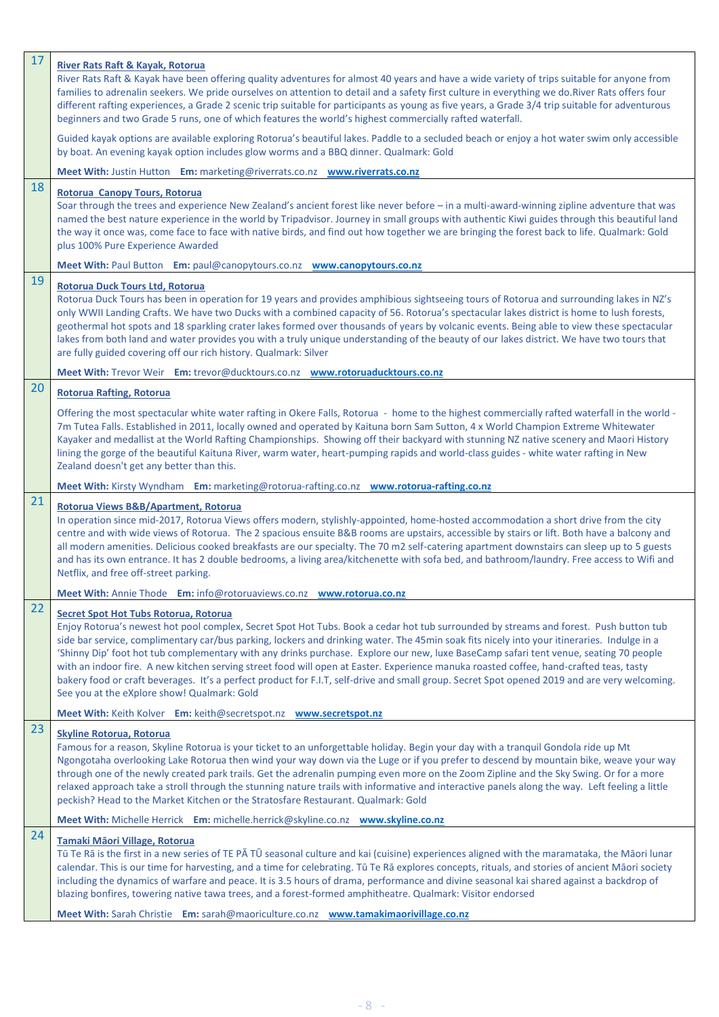| 17 | River Rats Raft & Kayak, Rotorua<br>River Rats Raft & Kayak have been offering quality adventures for almost 40 years and have a wide variety of trips suitable for anyone from<br>families to adrenalin seekers. We pride ourselves on attention to detail and a safety first culture in everything we do. River Rats offers four<br>different rafting experiences, a Grade 2 scenic trip suitable for participants as young as five years, a Grade 3/4 trip suitable for adventurous<br>beginners and two Grade 5 runs, one of which features the world's highest commercially rafted waterfall.                                                                                                                                                                                                               |
|----|------------------------------------------------------------------------------------------------------------------------------------------------------------------------------------------------------------------------------------------------------------------------------------------------------------------------------------------------------------------------------------------------------------------------------------------------------------------------------------------------------------------------------------------------------------------------------------------------------------------------------------------------------------------------------------------------------------------------------------------------------------------------------------------------------------------|
|    | Guided kayak options are available exploring Rotorua's beautiful lakes. Paddle to a secluded beach or enjoy a hot water swim only accessible<br>by boat. An evening kayak option includes glow worms and a BBQ dinner. Qualmark: Gold                                                                                                                                                                                                                                                                                                                                                                                                                                                                                                                                                                            |
|    | Meet With: Justin Hutton Em: marketing@riverrats.co.nz www.riverrats.co.nz                                                                                                                                                                                                                                                                                                                                                                                                                                                                                                                                                                                                                                                                                                                                       |
| 18 | Rotorua Canopy Tours, Rotorua<br>Soar through the trees and experience New Zealand's ancient forest like never before - in a multi-award-winning zipline adventure that was<br>named the best nature experience in the world by Tripadvisor. Journey in small groups with authentic Kiwi guides through this beautiful land<br>the way it once was, come face to face with native birds, and find out how together we are bringing the forest back to life. Qualmark: Gold<br>plus 100% Pure Experience Awarded                                                                                                                                                                                                                                                                                                  |
|    | Meet With: Paul Button Em: paul@canopytours.co.nz www.canopytours.co.nz                                                                                                                                                                                                                                                                                                                                                                                                                                                                                                                                                                                                                                                                                                                                          |
| 19 | <b>Rotorua Duck Tours Ltd, Rotorua</b><br>Rotorua Duck Tours has been in operation for 19 years and provides amphibious sightseeing tours of Rotorua and surrounding lakes in NZ's<br>only WWII Landing Crafts. We have two Ducks with a combined capacity of 56. Rotorua's spectacular lakes district is home to lush forests,<br>geothermal hot spots and 18 sparkling crater lakes formed over thousands of years by volcanic events. Being able to view these spectacular<br>lakes from both land and water provides you with a truly unique understanding of the beauty of our lakes district. We have two tours that<br>are fully guided covering off our rich history. Qualmark: Silver                                                                                                                   |
|    | Meet With: Trevor Weir Em: trevor@ducktours.co.nz www.rotoruaducktours.co.nz                                                                                                                                                                                                                                                                                                                                                                                                                                                                                                                                                                                                                                                                                                                                     |
| 20 | <b>Rotorua Rafting, Rotorua</b>                                                                                                                                                                                                                                                                                                                                                                                                                                                                                                                                                                                                                                                                                                                                                                                  |
|    | Offering the most spectacular white water rafting in Okere Falls, Rotorua - home to the highest commercially rafted waterfall in the world -<br>7m Tutea Falls. Established in 2011, locally owned and operated by Kaituna born Sam Sutton, 4 x World Champion Extreme Whitewater<br>Kayaker and medallist at the World Rafting Championships. Showing off their backyard with stunning NZ native scenery and Maori History<br>lining the gorge of the beautiful Kaituna River, warm water, heart-pumping rapids and world-class guides - white water rafting in New<br>Zealand doesn't get any better than this.                                                                                                                                                                                                |
|    | Meet With: Kirsty Wyndham Em: marketing@rotorua-rafting.co.nz www.rotorua-rafting.co.nz                                                                                                                                                                                                                                                                                                                                                                                                                                                                                                                                                                                                                                                                                                                          |
|    |                                                                                                                                                                                                                                                                                                                                                                                                                                                                                                                                                                                                                                                                                                                                                                                                                  |
| 21 | Rotorua Views B&B/Apartment, Rotorua<br>In operation since mid-2017, Rotorua Views offers modern, stylishly-appointed, home-hosted accommodation a short drive from the city<br>centre and with wide views of Rotorua. The 2 spacious ensuite B&B rooms are upstairs, accessible by stairs or lift. Both have a balcony and<br>all modern amenities. Delicious cooked breakfasts are our specialty. The 70 m2 self-catering apartment downstairs can sleep up to 5 guests<br>and has its own entrance. It has 2 double bedrooms, a living area/kitchenette with sofa bed, and bathroom/laundry. Free access to Wifi and<br>Netflix, and free off-street parking.                                                                                                                                                 |
|    | <b>Meet With: Annie Thode Em: info@rotoruaviews.co.nz www.rotorua.co.nz</b>                                                                                                                                                                                                                                                                                                                                                                                                                                                                                                                                                                                                                                                                                                                                      |
| 22 | Secret Spot Hot Tubs Rotorua, Rotorua<br>Enjoy Rotorua's newest hot pool complex, Secret Spot Hot Tubs. Book a cedar hot tub surrounded by streams and forest. Push button tub<br>side bar service, complimentary car/bus parking, lockers and drinking water. The 45min soak fits nicely into your itineraries. Indulge in a<br>'Shinny Dip' foot hot tub complementary with any drinks purchase. Explore our new, luxe BaseCamp safari tent venue, seating 70 people<br>with an indoor fire. A new kitchen serving street food will open at Easter. Experience manuka roasted coffee, hand-crafted teas, tasty<br>bakery food or craft beverages. It's a perfect product for F.I.T, self-drive and small group. Secret Spot opened 2019 and are very welcoming.<br>See you at the eXplore show! Qualmark: Gold |
|    | Meet With: Keith Kolver Em: keith@secretspot.nz www.secretspot.nz                                                                                                                                                                                                                                                                                                                                                                                                                                                                                                                                                                                                                                                                                                                                                |
| 23 | Skyline Rotorua, Rotorua<br>Famous for a reason, Skyline Rotorua is your ticket to an unforgettable holiday. Begin your day with a tranquil Gondola ride up Mt<br>Ngongotaha overlooking Lake Rotorua then wind your way down via the Luge or if you prefer to descend by mountain bike, weave your way<br>through one of the newly created park trails. Get the adrenalin pumping even more on the Zoom Zipline and the Sky Swing. Or for a more<br>relaxed approach take a stroll through the stunning nature trails with informative and interactive panels along the way. Left feeling a little<br>peckish? Head to the Market Kitchen or the Stratosfare Restaurant. Qualmark: Gold                                                                                                                         |
|    | Meet With: Michelle Herrick Em: michelle.herrick@skyline.co.nz www.skyline.co.nz                                                                                                                                                                                                                                                                                                                                                                                                                                                                                                                                                                                                                                                                                                                                 |
| 24 | Tamaki Māori Village, Rotorua<br>Tū Te Rā is the first in a new series of TE PĀ TŪ seasonal culture and kai (cuisine) experiences aligned with the maramataka, the Māori lunar<br>calendar. This is our time for harvesting, and a time for celebrating. Tū Te Ra explores concepts, rituals, and stories of ancient Maori society<br>including the dynamics of warfare and peace. It is 3.5 hours of drama, performance and divine seasonal kai shared against a backdrop of<br>blazing bonfires, towering native tawa trees, and a forest-formed amphitheatre. Qualmark: Visitor endorsed<br>Meet With: Sarah Christie Em: sarah@maoriculture.co.nz www.tamakimaorivillage.co.nz                                                                                                                               |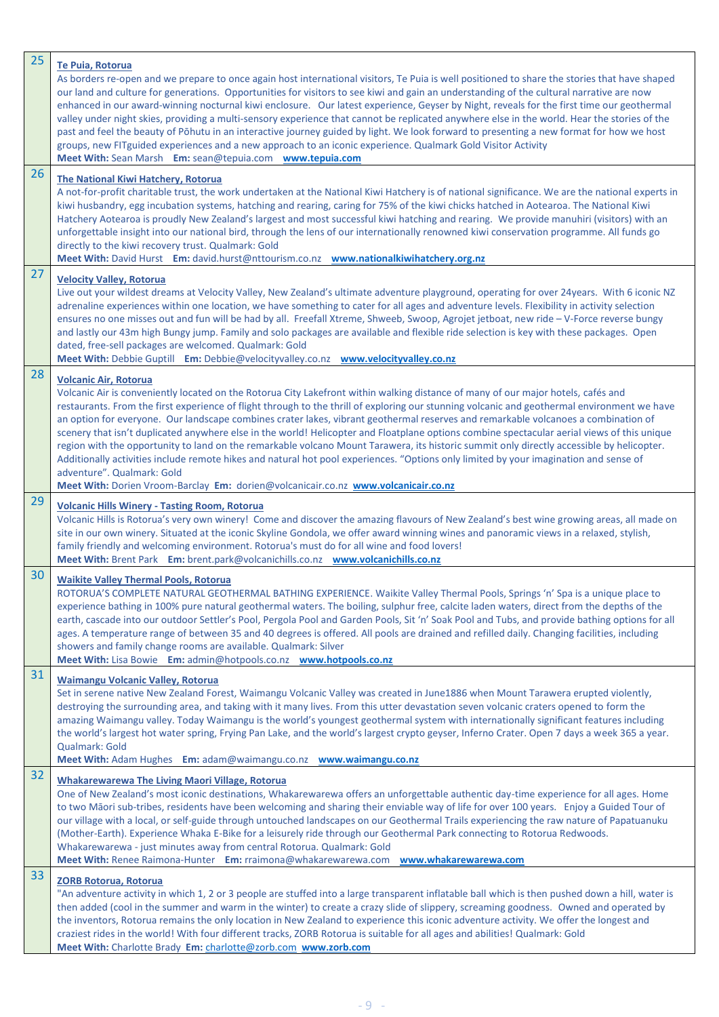| 25 | Te Puia, Rotorua<br>As borders re-open and we prepare to once again host international visitors, Te Puia is well positioned to share the stories that have shaped<br>our land and culture for generations. Opportunities for visitors to see kiwi and gain an understanding of the cultural narrative are now<br>enhanced in our award-winning nocturnal kiwi enclosure. Our latest experience, Geyser by Night, reveals for the first time our geothermal<br>valley under night skies, providing a multi-sensory experience that cannot be replicated anywhere else in the world. Hear the stories of the<br>past and feel the beauty of Pōhutu in an interactive journey guided by light. We look forward to presenting a new format for how we host<br>groups, new FITguided experiences and a new approach to an iconic experience. Qualmark Gold Visitor Activity<br>Meet With: Sean Marsh Em: sean@tepuia.com www.tepuia.com                                                                               |
|----|------------------------------------------------------------------------------------------------------------------------------------------------------------------------------------------------------------------------------------------------------------------------------------------------------------------------------------------------------------------------------------------------------------------------------------------------------------------------------------------------------------------------------------------------------------------------------------------------------------------------------------------------------------------------------------------------------------------------------------------------------------------------------------------------------------------------------------------------------------------------------------------------------------------------------------------------------------------------------------------------------------------|
| 26 | The National Kiwi Hatchery, Rotorua<br>A not-for-profit charitable trust, the work undertaken at the National Kiwi Hatchery is of national significance. We are the national experts in<br>kiwi husbandry, egg incubation systems, hatching and rearing, caring for 75% of the kiwi chicks hatched in Aotearoa. The National Kiwi<br>Hatchery Aotearoa is proudly New Zealand's largest and most successful kiwi hatching and rearing. We provide manuhiri (visitors) with an<br>unforgettable insight into our national bird, through the lens of our internationally renowned kiwi conservation programme. All funds go<br>directly to the kiwi recovery trust. Qualmark: Gold<br>Meet With: David Hurst Em: david.hurst@nttourism.co.nz www.nationalkiwihatchery.org.nz                                                                                                                                                                                                                                       |
| 27 | <b>Velocity Valley, Rotorua</b><br>Live out your wildest dreams at Velocity Valley, New Zealand's ultimate adventure playground, operating for over 24years. With 6 iconic NZ<br>adrenaline experiences within one location, we have something to cater for all ages and adventure levels. Flexibility in activity selection<br>ensures no one misses out and fun will be had by all. Freefall Xtreme, Shweeb, Swoop, Agrojet jetboat, new ride - V-Force reverse bungy<br>and lastly our 43m high Bungy jump. Family and solo packages are available and flexible ride selection is key with these packages. Open<br>dated, free-sell packages are welcomed. Qualmark: Gold<br>Meet With: Debbie Guptill Em: Debbie@velocityvalley.co.nz www.velocityvalley.co.nz                                                                                                                                                                                                                                               |
| 28 | <b>Volcanic Air, Rotorua</b><br>Volcanic Air is conveniently located on the Rotorua City Lakefront within walking distance of many of our major hotels, cafés and<br>restaurants. From the first experience of flight through to the thrill of exploring our stunning volcanic and geothermal environment we have<br>an option for everyone. Our landscape combines crater lakes, vibrant geothermal reserves and remarkable volcanoes a combination of<br>scenery that isn't duplicated anywhere else in the world! Helicopter and Floatplane options combine spectacular aerial views of this unique<br>region with the opportunity to land on the remarkable volcano Mount Tarawera, its historic summit only directly accessible by helicopter.<br>Additionally activities include remote hikes and natural hot pool experiences. "Options only limited by your imagination and sense of<br>adventure". Qualmark: Gold<br>Meet With: Dorien Vroom-Barclay Em: dorien@volcanicair.co.nz www.volcanicair.co.nz |
| 29 | <b>Volcanic Hills Winery - Tasting Room, Rotorua</b><br>Volcanic Hills is Rotorua's very own winery! Come and discover the amazing flavours of New Zealand's best wine growing areas, all made on<br>site in our own winery. Situated at the iconic Skyline Gondola, we offer award winning wines and panoramic views in a relaxed, stylish,<br>family friendly and welcoming environment. Rotorua's must do for all wine and food lovers!<br>Meet With: Brent Park Em: brent.park@volcanichills.co.nz www.volcanichills.co.nz                                                                                                                                                                                                                                                                                                                                                                                                                                                                                   |
| 30 | <b>Waikite Valley Thermal Pools, Rotorua</b><br>ROTORUA'S COMPLETE NATURAL GEOTHERMAL BATHING EXPERIENCE. Waikite Valley Thermal Pools, Springs 'n' Spa is a unique place to<br>experience bathing in 100% pure natural geothermal waters. The boiling, sulphur free, calcite laden waters, direct from the depths of the<br>earth, cascade into our outdoor Settler's Pool, Pergola Pool and Garden Pools, Sit 'n' Soak Pool and Tubs, and provide bathing options for all<br>ages. A temperature range of between 35 and 40 degrees is offered. All pools are drained and refilled daily. Changing facilities, including<br>showers and family change rooms are available. Qualmark: Silver<br>Meet With: Lisa Bowie Em: admin@hotpools.co.nz www.hotpools.co.nz                                                                                                                                                                                                                                               |
| 31 | <b>Waimangu Volcanic Valley, Rotorua</b><br>Set in serene native New Zealand Forest, Waimangu Volcanic Valley was created in June1886 when Mount Tarawera erupted violently,<br>destroying the surrounding area, and taking with it many lives. From this utter devastation seven volcanic craters opened to form the<br>amazing Waimangu valley. Today Waimangu is the world's youngest geothermal system with internationally significant features including<br>the world's largest hot water spring, Frying Pan Lake, and the world's largest crypto geyser, Inferno Crater. Open 7 days a week 365 a year.<br>Qualmark: Gold<br>Meet With: Adam Hughes Em: adam@waimangu.co.nz www.waimangu.co.nz                                                                                                                                                                                                                                                                                                            |
| 32 | <b>Whakarewarewa The Living Maori Village, Rotorua</b><br>One of New Zealand's most iconic destinations, Whakarewarewa offers an unforgettable authentic day-time experience for all ages. Home<br>to two Māori sub-tribes, residents have been welcoming and sharing their enviable way of life for over 100 years. Enjoy a Guided Tour of<br>our village with a local, or self-guide through untouched landscapes on our Geothermal Trails experiencing the raw nature of Papatuanuku<br>(Mother-Earth). Experience Whaka E-Bike for a leisurely ride through our Geothermal Park connecting to Rotorua Redwoods.<br>Whakarewarewa - just minutes away from central Rotorua. Qualmark: Gold<br>Meet With: Renee Raimona-Hunter Em: rraimona@whakarewarewa.com www.whakarewarewa.com                                                                                                                                                                                                                            |
| 33 | <b>ZORB Rotorua, Rotorua</b><br>"An adventure activity in which 1, 2 or 3 people are stuffed into a large transparent inflatable ball which is then pushed down a hill, water is<br>then added (cool in the summer and warm in the winter) to create a crazy slide of slippery, screaming goodness. Owned and operated by<br>the inventors, Rotorua remains the only location in New Zealand to experience this iconic adventure activity. We offer the longest and<br>craziest rides in the world! With four different tracks, ZORB Rotorua is suitable for all ages and abilities! Qualmark: Gold<br>Meet With: Charlotte Brady Em: charlotte@zorb.com www.zorb.com                                                                                                                                                                                                                                                                                                                                            |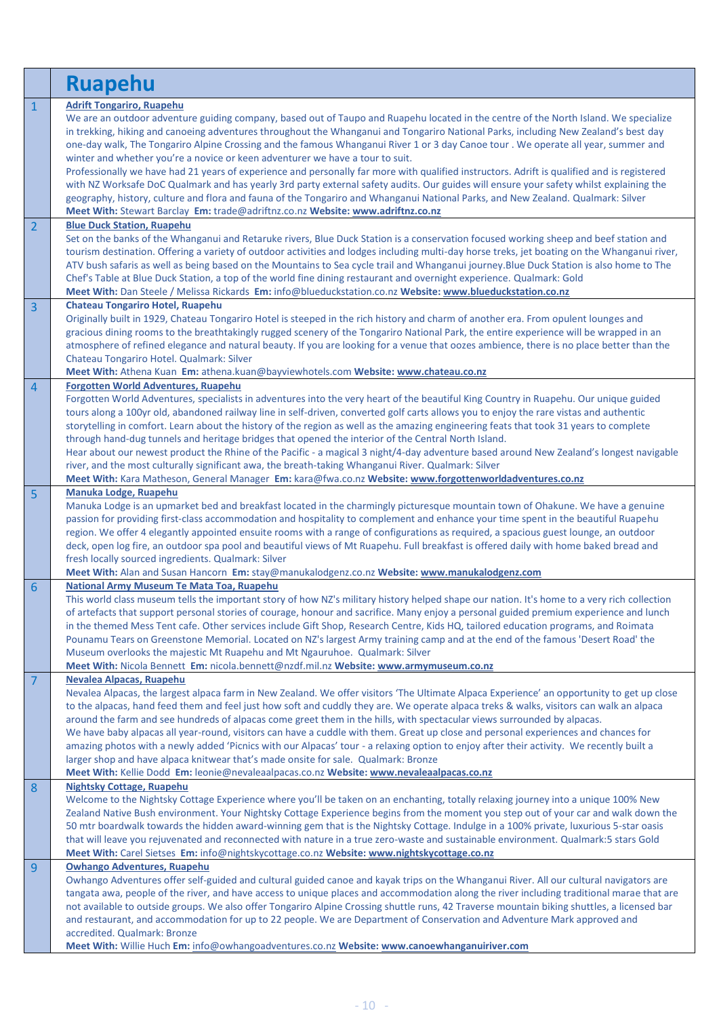|   | <b>Ruapehu</b>                                                                                                                                                                                                                                                                                                                                                                                                                                                                                                                                                                                                                                                                                                                                                                                                                                                                                                                                                                                                                                         |
|---|--------------------------------------------------------------------------------------------------------------------------------------------------------------------------------------------------------------------------------------------------------------------------------------------------------------------------------------------------------------------------------------------------------------------------------------------------------------------------------------------------------------------------------------------------------------------------------------------------------------------------------------------------------------------------------------------------------------------------------------------------------------------------------------------------------------------------------------------------------------------------------------------------------------------------------------------------------------------------------------------------------------------------------------------------------|
| 1 | <b>Adrift Tongariro, Ruapehu</b><br>We are an outdoor adventure guiding company, based out of Taupo and Ruapehu located in the centre of the North Island. We specialize<br>in trekking, hiking and canoeing adventures throughout the Whanganui and Tongariro National Parks, including New Zealand's best day<br>one-day walk, The Tongariro Alpine Crossing and the famous Whanganui River 1 or 3 day Canoe tour. We operate all year, summer and<br>winter and whether you're a novice or keen adventurer we have a tour to suit.<br>Professionally we have had 21 years of experience and personally far more with qualified instructors. Adrift is qualified and is registered<br>with NZ Worksafe DoC Qualmark and has yearly 3rd party external safety audits. Our guides will ensure your safety whilst explaining the<br>geography, history, culture and flora and fauna of the Tongariro and Whanganui National Parks, and New Zealand. Qualmark: Silver<br>Meet With: Stewart Barclay Em: trade@adriftnz.co.nz Website: www.adriftnz.co.nz |
| 2 | <b>Blue Duck Station, Ruapehu</b><br>Set on the banks of the Whanganui and Retaruke rivers, Blue Duck Station is a conservation focused working sheep and beef station and<br>tourism destination. Offering a variety of outdoor activities and lodges including multi-day horse treks, jet boating on the Whanganui river,<br>ATV bush safaris as well as being based on the Mountains to Sea cycle trail and Whanganui journey.Blue Duck Station is also home to The<br>Chef's Table at Blue Duck Station, a top of the world fine dining restaurant and overnight experience. Qualmark: Gold<br>Meet With: Dan Steele / Melissa Rickards Em: info@blueduckstation.co.nz Website: www.blueduckstation.co.nz                                                                                                                                                                                                                                                                                                                                          |
| 3 | <b>Chateau Tongariro Hotel, Ruapehu</b><br>Originally built in 1929, Chateau Tongariro Hotel is steeped in the rich history and charm of another era. From opulent lounges and<br>gracious dining rooms to the breathtakingly rugged scenery of the Tongariro National Park, the entire experience will be wrapped in an<br>atmosphere of refined elegance and natural beauty. If you are looking for a venue that oozes ambience, there is no place better than the<br>Chateau Tongariro Hotel. Qualmark: Silver<br>Meet With: Athena Kuan Em: athena.kuan@bayviewhotels.com Website: www.chateau.co.nz                                                                                                                                                                                                                                                                                                                                                                                                                                               |
| 4 | Forgotten World Adventures, Ruapehu<br>Forgotten World Adventures, specialists in adventures into the very heart of the beautiful King Country in Ruapehu. Our unique guided<br>tours along a 100yr old, abandoned railway line in self-driven, converted golf carts allows you to enjoy the rare vistas and authentic<br>storytelling in comfort. Learn about the history of the region as well as the amazing engineering feats that took 31 years to complete<br>through hand-dug tunnels and heritage bridges that opened the interior of the Central North Island.<br>Hear about our newest product the Rhine of the Pacific - a magical 3 night/4-day adventure based around New Zealand's longest navigable<br>river, and the most culturally significant awa, the breath-taking Whanganui River. Qualmark: Silver<br>Meet With: Kara Matheson, General Manager Em: kara@fwa.co.nz Website: www.forgottenworldadventures.co.nz                                                                                                                  |
| 5 | Manuka Lodge, Ruapehu<br>Manuka Lodge is an upmarket bed and breakfast located in the charmingly picturesque mountain town of Ohakune. We have a genuine<br>passion for providing first-class accommodation and hospitality to complement and enhance your time spent in the beautiful Ruapehu<br>region. We offer 4 elegantly appointed ensuite rooms with a range of configurations as required, a spacious guest lounge, an outdoor<br>deck, open log fire, an outdoor spa pool and beautiful views of Mt Ruapehu. Full breakfast is offered daily with home baked bread and<br>fresh locally sourced ingredients. Qualmark: Silver<br>Meet With: Alan and Susan Hancorn Em: stay@manukalodgenz.co.nz Website: www.manukalodgenz.com                                                                                                                                                                                                                                                                                                                |
| 6 | National Army Museum Te Mata Toa, Ruapehu<br>This world class museum tells the important story of how NZ's military history helped shape our nation. It's home to a very rich collection<br>of artefacts that support personal stories of courage, honour and sacrifice. Many enjoy a personal guided premium experience and lunch<br>in the themed Mess Tent cafe. Other services include Gift Shop, Research Centre, Kids HQ, tailored education programs, and Roimata<br>Pounamu Tears on Greenstone Memorial. Located on NZ's largest Army training camp and at the end of the famous 'Desert Road' the<br>Museum overlooks the majestic Mt Ruapehu and Mt Ngauruhoe. Qualmark: Silver<br>Meet With: Nicola Bennett Em: nicola.bennett@nzdf.mil.nz Website: www.armymuseum.co.nz                                                                                                                                                                                                                                                                   |
| 7 | Nevalea Alpacas, Ruapehu<br>Nevalea Alpacas, the largest alpaca farm in New Zealand. We offer visitors 'The Ultimate Alpaca Experience' an opportunity to get up close<br>to the alpacas, hand feed them and feel just how soft and cuddly they are. We operate alpaca treks & walks, visitors can walk an alpaca<br>around the farm and see hundreds of alpacas come greet them in the hills, with spectacular views surrounded by alpacas.<br>We have baby alpacas all year-round, visitors can have a cuddle with them. Great up close and personal experiences and chances for<br>amazing photos with a newly added 'Picnics with our Alpacas' tour - a relaxing option to enjoy after their activity. We recently built a<br>larger shop and have alpaca knitwear that's made onsite for sale. Qualmark: Bronze<br>Meet With: Kellie Dodd Em: leonie@nevaleaalpacas.co.nz Website: www.nevaleaalpacas.co.nz                                                                                                                                       |
| 8 | <b>Nightsky Cottage, Ruapehu</b><br>Welcome to the Nightsky Cottage Experience where you'll be taken on an enchanting, totally relaxing journey into a unique 100% New<br>Zealand Native Bush environment. Your Nightsky Cottage Experience begins from the moment you step out of your car and walk down the<br>50 mtr boardwalk towards the hidden award-winning gem that is the Nightsky Cottage. Indulge in a 100% private, luxurious 5-star oasis<br>that will leave you rejuvenated and reconnected with nature in a true zero-waste and sustainable environment. Qualmark:5 stars Gold<br>Meet With: Carel Sietses Em: info@nightskycottage.co.nz Website: www.nightskycottage.co.nz                                                                                                                                                                                                                                                                                                                                                            |
| 9 | <b>Owhango Adventures, Ruapehu</b><br>Owhango Adventures offer self-guided and cultural guided canoe and kayak trips on the Whanganui River. All our cultural navigators are<br>tangata awa, people of the river, and have access to unique places and accommodation along the river including traditional marae that are<br>not available to outside groups. We also offer Tongariro Alpine Crossing shuttle runs, 42 Traverse mountain biking shuttles, a licensed bar<br>and restaurant, and accommodation for up to 22 people. We are Department of Conservation and Adventure Mark approved and<br>accredited. Qualmark: Bronze<br>Meet With: Willie Huch Em: info@owhangoadventures.co.nz Website: www.canoewhanganuiriver.com                                                                                                                                                                                                                                                                                                                   |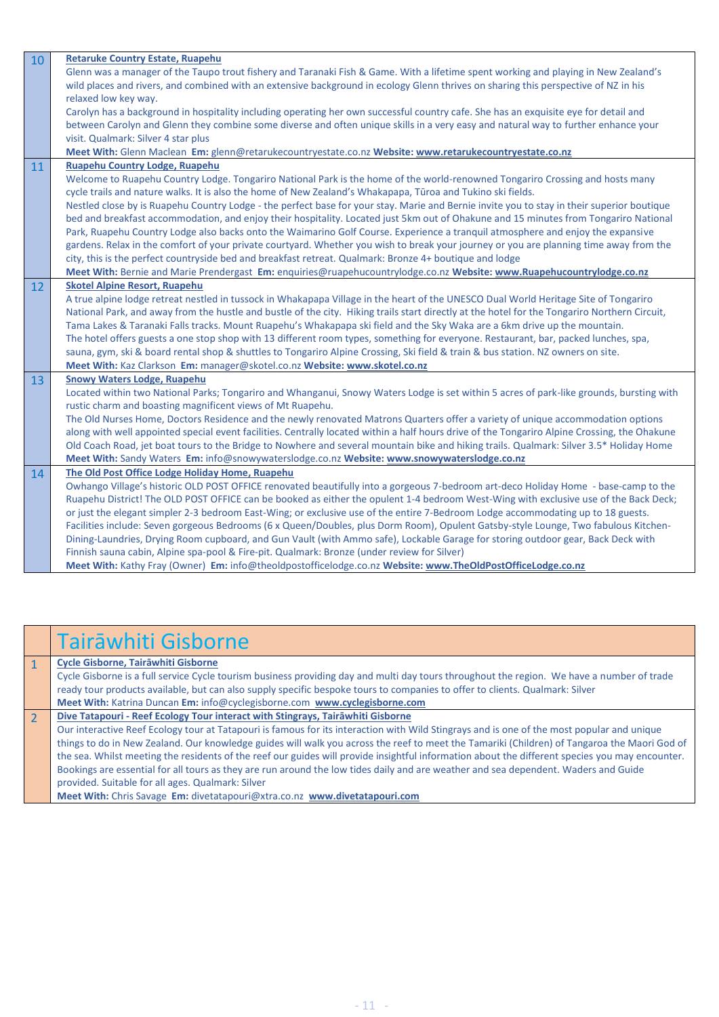| Glenn was a manager of the Taupo trout fishery and Taranaki Fish & Game. With a lifetime spent working and playing in New Zealand's<br>wild places and rivers, and combined with an extensive background in ecology Glenn thrives on sharing this perspective of NZ in his<br>relaxed low key way.<br>Carolyn has a background in hospitality including operating her own successful country cafe. She has an exquisite eye for detail and<br>between Carolyn and Glenn they combine some diverse and often unique skills in a very easy and natural way to further enhance your<br>visit. Qualmark: Silver 4 star plus<br>Meet With: Glenn Maclean Em: glenn@retarukecountryestate.co.nz Website: www.retarukecountryestate.co.nz<br>Ruapehu Country Lodge, Ruapehu<br>11<br>Welcome to Ruapehu Country Lodge. Tongariro National Park is the home of the world-renowned Tongariro Crossing and hosts many<br>cycle trails and nature walks. It is also the home of New Zealand's Whakapapa, Tūroa and Tukino ski fields.<br>Nestled close by is Ruapehu Country Lodge - the perfect base for your stay. Marie and Bernie invite you to stay in their superior boutique<br>bed and breakfast accommodation, and enjoy their hospitality. Located just 5km out of Ohakune and 15 minutes from Tongariro National<br>Park, Ruapehu Country Lodge also backs onto the Waimarino Golf Course. Experience a tranquil atmosphere and enjoy the expansive<br>gardens. Relax in the comfort of your private courtyard. Whether you wish to break your journey or you are planning time away from the<br>city, this is the perfect countryside bed and breakfast retreat. Qualmark: Bronze 4+ boutique and lodge<br>Meet With: Bernie and Marie Prendergast Em: enquiries@ruapehucountrylodge.co.nz Website: www.Ruapehucountrylodge.co.nz<br><b>Skotel Alpine Resort, Ruapehu</b><br>12<br>A true alpine lodge retreat nestled in tussock in Whakapapa Village in the heart of the UNESCO Dual World Heritage Site of Tongariro<br>National Park, and away from the hustle and bustle of the city. Hiking trails start directly at the hotel for the Tongariro Northern Circuit,<br>Tama Lakes & Taranaki Falls tracks. Mount Ruapehu's Whakapapa ski field and the Sky Waka are a 6km drive up the mountain.<br>The hotel offers guests a one stop shop with 13 different room types, something for everyone. Restaurant, bar, packed lunches, spa,<br>sauna, gym, ski & board rental shop & shuttles to Tongariro Alpine Crossing, Ski field & train & bus station. NZ owners on site.<br>Meet With: Kaz Clarkson Em: manager@skotel.co.nz Website: www.skotel.co.nz<br><b>Snowy Waters Lodge, Ruapehu</b><br>13<br>Located within two National Parks; Tongariro and Whanganui, Snowy Waters Lodge is set within 5 acres of park-like grounds, bursting with<br>rustic charm and boasting magnificent views of Mt Ruapehu.<br>The Old Nurses Home, Doctors Residence and the newly renovated Matrons Quarters offer a variety of unique accommodation options<br>along with well appointed special event facilities. Centrally located within a half hours drive of the Tongariro Alpine Crossing, the Ohakune<br>Old Coach Road, jet boat tours to the Bridge to Nowhere and several mountain bike and hiking trails. Qualmark: Silver 3.5* Holiday Home<br>Meet With: Sandy Waters Em: info@snowywaterslodge.co.nz Website: www.snowywaterslodge.co.nz<br>The Old Post Office Lodge Holiday Home, Ruapehu<br>14<br>Owhango Village's historic OLD POST OFFICE renovated beautifully into a gorgeous 7-bedroom art-deco Holiday Home - base-camp to the<br>Ruapehu District! The OLD POST OFFICE can be booked as either the opulent 1-4 bedroom West-Wing with exclusive use of the Back Deck;<br>or just the elegant simpler 2-3 bedroom East-Wing; or exclusive use of the entire 7-Bedroom Lodge accommodating up to 18 guests.<br>Facilities include: Seven gorgeous Bedrooms (6 x Queen/Doubles, plus Dorm Room), Opulent Gatsby-style Lounge, Two fabulous Kitchen-<br>Dining-Laundries, Drying Room cupboard, and Gun Vault (with Ammo safe), Lockable Garage for storing outdoor gear, Back Deck with<br>Finnish sauna cabin, Alpine spa-pool & Fire-pit. Qualmark: Bronze (under review for Silver)<br>Meet With: Kathy Fray (Owner) Em: info@theoldpostofficelodge.co.nz Website: www.TheOldPostOfficeLodge.co.nz | 10 | <b>Retaruke Country Estate, Ruapehu</b> |
|--------------------------------------------------------------------------------------------------------------------------------------------------------------------------------------------------------------------------------------------------------------------------------------------------------------------------------------------------------------------------------------------------------------------------------------------------------------------------------------------------------------------------------------------------------------------------------------------------------------------------------------------------------------------------------------------------------------------------------------------------------------------------------------------------------------------------------------------------------------------------------------------------------------------------------------------------------------------------------------------------------------------------------------------------------------------------------------------------------------------------------------------------------------------------------------------------------------------------------------------------------------------------------------------------------------------------------------------------------------------------------------------------------------------------------------------------------------------------------------------------------------------------------------------------------------------------------------------------------------------------------------------------------------------------------------------------------------------------------------------------------------------------------------------------------------------------------------------------------------------------------------------------------------------------------------------------------------------------------------------------------------------------------------------------------------------------------------------------------------------------------------------------------------------------------------------------------------------------------------------------------------------------------------------------------------------------------------------------------------------------------------------------------------------------------------------------------------------------------------------------------------------------------------------------------------------------------------------------------------------------------------------------------------------------------------------------------------------------------------------------------------------------------------------------------------------------------------------------------------------------------------------------------------------------------------------------------------------------------------------------------------------------------------------------------------------------------------------------------------------------------------------------------------------------------------------------------------------------------------------------------------------------------------------------------------------------------------------------------------------------------------------------------------------------------------------------------------------------------------------------------------------------------------------------------------------------------------------------------------------------------------------------------------------------------------------------------------------------------------------------------------------------------------------------------------------------------------------------------------------------------------------------------------------------------------------------------------------------------------------------------------------------------------------------------------------------------------------------------------------------------------------------------------------------------------------------------------------------------------------------------------------------------------------------------------------------------------------------------------------------------------------------------------------------|----|-----------------------------------------|
|                                                                                                                                                                                                                                                                                                                                                                                                                                                                                                                                                                                                                                                                                                                                                                                                                                                                                                                                                                                                                                                                                                                                                                                                                                                                                                                                                                                                                                                                                                                                                                                                                                                                                                                                                                                                                                                                                                                                                                                                                                                                                                                                                                                                                                                                                                                                                                                                                                                                                                                                                                                                                                                                                                                                                                                                                                                                                                                                                                                                                                                                                                                                                                                                                                                                                                                                                                                                                                                                                                                                                                                                                                                                                                                                                                                                                                                                                                                                                                                                                                                                                                                                                                                                                                                                                                                                                                                                                          |    |                                         |
|                                                                                                                                                                                                                                                                                                                                                                                                                                                                                                                                                                                                                                                                                                                                                                                                                                                                                                                                                                                                                                                                                                                                                                                                                                                                                                                                                                                                                                                                                                                                                                                                                                                                                                                                                                                                                                                                                                                                                                                                                                                                                                                                                                                                                                                                                                                                                                                                                                                                                                                                                                                                                                                                                                                                                                                                                                                                                                                                                                                                                                                                                                                                                                                                                                                                                                                                                                                                                                                                                                                                                                                                                                                                                                                                                                                                                                                                                                                                                                                                                                                                                                                                                                                                                                                                                                                                                                                                                          |    |                                         |
|                                                                                                                                                                                                                                                                                                                                                                                                                                                                                                                                                                                                                                                                                                                                                                                                                                                                                                                                                                                                                                                                                                                                                                                                                                                                                                                                                                                                                                                                                                                                                                                                                                                                                                                                                                                                                                                                                                                                                                                                                                                                                                                                                                                                                                                                                                                                                                                                                                                                                                                                                                                                                                                                                                                                                                                                                                                                                                                                                                                                                                                                                                                                                                                                                                                                                                                                                                                                                                                                                                                                                                                                                                                                                                                                                                                                                                                                                                                                                                                                                                                                                                                                                                                                                                                                                                                                                                                                                          |    |                                         |
|                                                                                                                                                                                                                                                                                                                                                                                                                                                                                                                                                                                                                                                                                                                                                                                                                                                                                                                                                                                                                                                                                                                                                                                                                                                                                                                                                                                                                                                                                                                                                                                                                                                                                                                                                                                                                                                                                                                                                                                                                                                                                                                                                                                                                                                                                                                                                                                                                                                                                                                                                                                                                                                                                                                                                                                                                                                                                                                                                                                                                                                                                                                                                                                                                                                                                                                                                                                                                                                                                                                                                                                                                                                                                                                                                                                                                                                                                                                                                                                                                                                                                                                                                                                                                                                                                                                                                                                                                          |    |                                         |
|                                                                                                                                                                                                                                                                                                                                                                                                                                                                                                                                                                                                                                                                                                                                                                                                                                                                                                                                                                                                                                                                                                                                                                                                                                                                                                                                                                                                                                                                                                                                                                                                                                                                                                                                                                                                                                                                                                                                                                                                                                                                                                                                                                                                                                                                                                                                                                                                                                                                                                                                                                                                                                                                                                                                                                                                                                                                                                                                                                                                                                                                                                                                                                                                                                                                                                                                                                                                                                                                                                                                                                                                                                                                                                                                                                                                                                                                                                                                                                                                                                                                                                                                                                                                                                                                                                                                                                                                                          |    |                                         |
|                                                                                                                                                                                                                                                                                                                                                                                                                                                                                                                                                                                                                                                                                                                                                                                                                                                                                                                                                                                                                                                                                                                                                                                                                                                                                                                                                                                                                                                                                                                                                                                                                                                                                                                                                                                                                                                                                                                                                                                                                                                                                                                                                                                                                                                                                                                                                                                                                                                                                                                                                                                                                                                                                                                                                                                                                                                                                                                                                                                                                                                                                                                                                                                                                                                                                                                                                                                                                                                                                                                                                                                                                                                                                                                                                                                                                                                                                                                                                                                                                                                                                                                                                                                                                                                                                                                                                                                                                          |    |                                         |
|                                                                                                                                                                                                                                                                                                                                                                                                                                                                                                                                                                                                                                                                                                                                                                                                                                                                                                                                                                                                                                                                                                                                                                                                                                                                                                                                                                                                                                                                                                                                                                                                                                                                                                                                                                                                                                                                                                                                                                                                                                                                                                                                                                                                                                                                                                                                                                                                                                                                                                                                                                                                                                                                                                                                                                                                                                                                                                                                                                                                                                                                                                                                                                                                                                                                                                                                                                                                                                                                                                                                                                                                                                                                                                                                                                                                                                                                                                                                                                                                                                                                                                                                                                                                                                                                                                                                                                                                                          |    |                                         |
|                                                                                                                                                                                                                                                                                                                                                                                                                                                                                                                                                                                                                                                                                                                                                                                                                                                                                                                                                                                                                                                                                                                                                                                                                                                                                                                                                                                                                                                                                                                                                                                                                                                                                                                                                                                                                                                                                                                                                                                                                                                                                                                                                                                                                                                                                                                                                                                                                                                                                                                                                                                                                                                                                                                                                                                                                                                                                                                                                                                                                                                                                                                                                                                                                                                                                                                                                                                                                                                                                                                                                                                                                                                                                                                                                                                                                                                                                                                                                                                                                                                                                                                                                                                                                                                                                                                                                                                                                          |    |                                         |
|                                                                                                                                                                                                                                                                                                                                                                                                                                                                                                                                                                                                                                                                                                                                                                                                                                                                                                                                                                                                                                                                                                                                                                                                                                                                                                                                                                                                                                                                                                                                                                                                                                                                                                                                                                                                                                                                                                                                                                                                                                                                                                                                                                                                                                                                                                                                                                                                                                                                                                                                                                                                                                                                                                                                                                                                                                                                                                                                                                                                                                                                                                                                                                                                                                                                                                                                                                                                                                                                                                                                                                                                                                                                                                                                                                                                                                                                                                                                                                                                                                                                                                                                                                                                                                                                                                                                                                                                                          |    |                                         |
|                                                                                                                                                                                                                                                                                                                                                                                                                                                                                                                                                                                                                                                                                                                                                                                                                                                                                                                                                                                                                                                                                                                                                                                                                                                                                                                                                                                                                                                                                                                                                                                                                                                                                                                                                                                                                                                                                                                                                                                                                                                                                                                                                                                                                                                                                                                                                                                                                                                                                                                                                                                                                                                                                                                                                                                                                                                                                                                                                                                                                                                                                                                                                                                                                                                                                                                                                                                                                                                                                                                                                                                                                                                                                                                                                                                                                                                                                                                                                                                                                                                                                                                                                                                                                                                                                                                                                                                                                          |    |                                         |
|                                                                                                                                                                                                                                                                                                                                                                                                                                                                                                                                                                                                                                                                                                                                                                                                                                                                                                                                                                                                                                                                                                                                                                                                                                                                                                                                                                                                                                                                                                                                                                                                                                                                                                                                                                                                                                                                                                                                                                                                                                                                                                                                                                                                                                                                                                                                                                                                                                                                                                                                                                                                                                                                                                                                                                                                                                                                                                                                                                                                                                                                                                                                                                                                                                                                                                                                                                                                                                                                                                                                                                                                                                                                                                                                                                                                                                                                                                                                                                                                                                                                                                                                                                                                                                                                                                                                                                                                                          |    |                                         |
|                                                                                                                                                                                                                                                                                                                                                                                                                                                                                                                                                                                                                                                                                                                                                                                                                                                                                                                                                                                                                                                                                                                                                                                                                                                                                                                                                                                                                                                                                                                                                                                                                                                                                                                                                                                                                                                                                                                                                                                                                                                                                                                                                                                                                                                                                                                                                                                                                                                                                                                                                                                                                                                                                                                                                                                                                                                                                                                                                                                                                                                                                                                                                                                                                                                                                                                                                                                                                                                                                                                                                                                                                                                                                                                                                                                                                                                                                                                                                                                                                                                                                                                                                                                                                                                                                                                                                                                                                          |    |                                         |
|                                                                                                                                                                                                                                                                                                                                                                                                                                                                                                                                                                                                                                                                                                                                                                                                                                                                                                                                                                                                                                                                                                                                                                                                                                                                                                                                                                                                                                                                                                                                                                                                                                                                                                                                                                                                                                                                                                                                                                                                                                                                                                                                                                                                                                                                                                                                                                                                                                                                                                                                                                                                                                                                                                                                                                                                                                                                                                                                                                                                                                                                                                                                                                                                                                                                                                                                                                                                                                                                                                                                                                                                                                                                                                                                                                                                                                                                                                                                                                                                                                                                                                                                                                                                                                                                                                                                                                                                                          |    |                                         |
|                                                                                                                                                                                                                                                                                                                                                                                                                                                                                                                                                                                                                                                                                                                                                                                                                                                                                                                                                                                                                                                                                                                                                                                                                                                                                                                                                                                                                                                                                                                                                                                                                                                                                                                                                                                                                                                                                                                                                                                                                                                                                                                                                                                                                                                                                                                                                                                                                                                                                                                                                                                                                                                                                                                                                                                                                                                                                                                                                                                                                                                                                                                                                                                                                                                                                                                                                                                                                                                                                                                                                                                                                                                                                                                                                                                                                                                                                                                                                                                                                                                                                                                                                                                                                                                                                                                                                                                                                          |    |                                         |
|                                                                                                                                                                                                                                                                                                                                                                                                                                                                                                                                                                                                                                                                                                                                                                                                                                                                                                                                                                                                                                                                                                                                                                                                                                                                                                                                                                                                                                                                                                                                                                                                                                                                                                                                                                                                                                                                                                                                                                                                                                                                                                                                                                                                                                                                                                                                                                                                                                                                                                                                                                                                                                                                                                                                                                                                                                                                                                                                                                                                                                                                                                                                                                                                                                                                                                                                                                                                                                                                                                                                                                                                                                                                                                                                                                                                                                                                                                                                                                                                                                                                                                                                                                                                                                                                                                                                                                                                                          |    |                                         |
|                                                                                                                                                                                                                                                                                                                                                                                                                                                                                                                                                                                                                                                                                                                                                                                                                                                                                                                                                                                                                                                                                                                                                                                                                                                                                                                                                                                                                                                                                                                                                                                                                                                                                                                                                                                                                                                                                                                                                                                                                                                                                                                                                                                                                                                                                                                                                                                                                                                                                                                                                                                                                                                                                                                                                                                                                                                                                                                                                                                                                                                                                                                                                                                                                                                                                                                                                                                                                                                                                                                                                                                                                                                                                                                                                                                                                                                                                                                                                                                                                                                                                                                                                                                                                                                                                                                                                                                                                          |    |                                         |
|                                                                                                                                                                                                                                                                                                                                                                                                                                                                                                                                                                                                                                                                                                                                                                                                                                                                                                                                                                                                                                                                                                                                                                                                                                                                                                                                                                                                                                                                                                                                                                                                                                                                                                                                                                                                                                                                                                                                                                                                                                                                                                                                                                                                                                                                                                                                                                                                                                                                                                                                                                                                                                                                                                                                                                                                                                                                                                                                                                                                                                                                                                                                                                                                                                                                                                                                                                                                                                                                                                                                                                                                                                                                                                                                                                                                                                                                                                                                                                                                                                                                                                                                                                                                                                                                                                                                                                                                                          |    |                                         |
|                                                                                                                                                                                                                                                                                                                                                                                                                                                                                                                                                                                                                                                                                                                                                                                                                                                                                                                                                                                                                                                                                                                                                                                                                                                                                                                                                                                                                                                                                                                                                                                                                                                                                                                                                                                                                                                                                                                                                                                                                                                                                                                                                                                                                                                                                                                                                                                                                                                                                                                                                                                                                                                                                                                                                                                                                                                                                                                                                                                                                                                                                                                                                                                                                                                                                                                                                                                                                                                                                                                                                                                                                                                                                                                                                                                                                                                                                                                                                                                                                                                                                                                                                                                                                                                                                                                                                                                                                          |    |                                         |
|                                                                                                                                                                                                                                                                                                                                                                                                                                                                                                                                                                                                                                                                                                                                                                                                                                                                                                                                                                                                                                                                                                                                                                                                                                                                                                                                                                                                                                                                                                                                                                                                                                                                                                                                                                                                                                                                                                                                                                                                                                                                                                                                                                                                                                                                                                                                                                                                                                                                                                                                                                                                                                                                                                                                                                                                                                                                                                                                                                                                                                                                                                                                                                                                                                                                                                                                                                                                                                                                                                                                                                                                                                                                                                                                                                                                                                                                                                                                                                                                                                                                                                                                                                                                                                                                                                                                                                                                                          |    |                                         |
|                                                                                                                                                                                                                                                                                                                                                                                                                                                                                                                                                                                                                                                                                                                                                                                                                                                                                                                                                                                                                                                                                                                                                                                                                                                                                                                                                                                                                                                                                                                                                                                                                                                                                                                                                                                                                                                                                                                                                                                                                                                                                                                                                                                                                                                                                                                                                                                                                                                                                                                                                                                                                                                                                                                                                                                                                                                                                                                                                                                                                                                                                                                                                                                                                                                                                                                                                                                                                                                                                                                                                                                                                                                                                                                                                                                                                                                                                                                                                                                                                                                                                                                                                                                                                                                                                                                                                                                                                          |    |                                         |
|                                                                                                                                                                                                                                                                                                                                                                                                                                                                                                                                                                                                                                                                                                                                                                                                                                                                                                                                                                                                                                                                                                                                                                                                                                                                                                                                                                                                                                                                                                                                                                                                                                                                                                                                                                                                                                                                                                                                                                                                                                                                                                                                                                                                                                                                                                                                                                                                                                                                                                                                                                                                                                                                                                                                                                                                                                                                                                                                                                                                                                                                                                                                                                                                                                                                                                                                                                                                                                                                                                                                                                                                                                                                                                                                                                                                                                                                                                                                                                                                                                                                                                                                                                                                                                                                                                                                                                                                                          |    |                                         |
|                                                                                                                                                                                                                                                                                                                                                                                                                                                                                                                                                                                                                                                                                                                                                                                                                                                                                                                                                                                                                                                                                                                                                                                                                                                                                                                                                                                                                                                                                                                                                                                                                                                                                                                                                                                                                                                                                                                                                                                                                                                                                                                                                                                                                                                                                                                                                                                                                                                                                                                                                                                                                                                                                                                                                                                                                                                                                                                                                                                                                                                                                                                                                                                                                                                                                                                                                                                                                                                                                                                                                                                                                                                                                                                                                                                                                                                                                                                                                                                                                                                                                                                                                                                                                                                                                                                                                                                                                          |    |                                         |
|                                                                                                                                                                                                                                                                                                                                                                                                                                                                                                                                                                                                                                                                                                                                                                                                                                                                                                                                                                                                                                                                                                                                                                                                                                                                                                                                                                                                                                                                                                                                                                                                                                                                                                                                                                                                                                                                                                                                                                                                                                                                                                                                                                                                                                                                                                                                                                                                                                                                                                                                                                                                                                                                                                                                                                                                                                                                                                                                                                                                                                                                                                                                                                                                                                                                                                                                                                                                                                                                                                                                                                                                                                                                                                                                                                                                                                                                                                                                                                                                                                                                                                                                                                                                                                                                                                                                                                                                                          |    |                                         |
|                                                                                                                                                                                                                                                                                                                                                                                                                                                                                                                                                                                                                                                                                                                                                                                                                                                                                                                                                                                                                                                                                                                                                                                                                                                                                                                                                                                                                                                                                                                                                                                                                                                                                                                                                                                                                                                                                                                                                                                                                                                                                                                                                                                                                                                                                                                                                                                                                                                                                                                                                                                                                                                                                                                                                                                                                                                                                                                                                                                                                                                                                                                                                                                                                                                                                                                                                                                                                                                                                                                                                                                                                                                                                                                                                                                                                                                                                                                                                                                                                                                                                                                                                                                                                                                                                                                                                                                                                          |    |                                         |
|                                                                                                                                                                                                                                                                                                                                                                                                                                                                                                                                                                                                                                                                                                                                                                                                                                                                                                                                                                                                                                                                                                                                                                                                                                                                                                                                                                                                                                                                                                                                                                                                                                                                                                                                                                                                                                                                                                                                                                                                                                                                                                                                                                                                                                                                                                                                                                                                                                                                                                                                                                                                                                                                                                                                                                                                                                                                                                                                                                                                                                                                                                                                                                                                                                                                                                                                                                                                                                                                                                                                                                                                                                                                                                                                                                                                                                                                                                                                                                                                                                                                                                                                                                                                                                                                                                                                                                                                                          |    |                                         |
|                                                                                                                                                                                                                                                                                                                                                                                                                                                                                                                                                                                                                                                                                                                                                                                                                                                                                                                                                                                                                                                                                                                                                                                                                                                                                                                                                                                                                                                                                                                                                                                                                                                                                                                                                                                                                                                                                                                                                                                                                                                                                                                                                                                                                                                                                                                                                                                                                                                                                                                                                                                                                                                                                                                                                                                                                                                                                                                                                                                                                                                                                                                                                                                                                                                                                                                                                                                                                                                                                                                                                                                                                                                                                                                                                                                                                                                                                                                                                                                                                                                                                                                                                                                                                                                                                                                                                                                                                          |    |                                         |
|                                                                                                                                                                                                                                                                                                                                                                                                                                                                                                                                                                                                                                                                                                                                                                                                                                                                                                                                                                                                                                                                                                                                                                                                                                                                                                                                                                                                                                                                                                                                                                                                                                                                                                                                                                                                                                                                                                                                                                                                                                                                                                                                                                                                                                                                                                                                                                                                                                                                                                                                                                                                                                                                                                                                                                                                                                                                                                                                                                                                                                                                                                                                                                                                                                                                                                                                                                                                                                                                                                                                                                                                                                                                                                                                                                                                                                                                                                                                                                                                                                                                                                                                                                                                                                                                                                                                                                                                                          |    |                                         |
|                                                                                                                                                                                                                                                                                                                                                                                                                                                                                                                                                                                                                                                                                                                                                                                                                                                                                                                                                                                                                                                                                                                                                                                                                                                                                                                                                                                                                                                                                                                                                                                                                                                                                                                                                                                                                                                                                                                                                                                                                                                                                                                                                                                                                                                                                                                                                                                                                                                                                                                                                                                                                                                                                                                                                                                                                                                                                                                                                                                                                                                                                                                                                                                                                                                                                                                                                                                                                                                                                                                                                                                                                                                                                                                                                                                                                                                                                                                                                                                                                                                                                                                                                                                                                                                                                                                                                                                                                          |    |                                         |
|                                                                                                                                                                                                                                                                                                                                                                                                                                                                                                                                                                                                                                                                                                                                                                                                                                                                                                                                                                                                                                                                                                                                                                                                                                                                                                                                                                                                                                                                                                                                                                                                                                                                                                                                                                                                                                                                                                                                                                                                                                                                                                                                                                                                                                                                                                                                                                                                                                                                                                                                                                                                                                                                                                                                                                                                                                                                                                                                                                                                                                                                                                                                                                                                                                                                                                                                                                                                                                                                                                                                                                                                                                                                                                                                                                                                                                                                                                                                                                                                                                                                                                                                                                                                                                                                                                                                                                                                                          |    |                                         |
|                                                                                                                                                                                                                                                                                                                                                                                                                                                                                                                                                                                                                                                                                                                                                                                                                                                                                                                                                                                                                                                                                                                                                                                                                                                                                                                                                                                                                                                                                                                                                                                                                                                                                                                                                                                                                                                                                                                                                                                                                                                                                                                                                                                                                                                                                                                                                                                                                                                                                                                                                                                                                                                                                                                                                                                                                                                                                                                                                                                                                                                                                                                                                                                                                                                                                                                                                                                                                                                                                                                                                                                                                                                                                                                                                                                                                                                                                                                                                                                                                                                                                                                                                                                                                                                                                                                                                                                                                          |    |                                         |
|                                                                                                                                                                                                                                                                                                                                                                                                                                                                                                                                                                                                                                                                                                                                                                                                                                                                                                                                                                                                                                                                                                                                                                                                                                                                                                                                                                                                                                                                                                                                                                                                                                                                                                                                                                                                                                                                                                                                                                                                                                                                                                                                                                                                                                                                                                                                                                                                                                                                                                                                                                                                                                                                                                                                                                                                                                                                                                                                                                                                                                                                                                                                                                                                                                                                                                                                                                                                                                                                                                                                                                                                                                                                                                                                                                                                                                                                                                                                                                                                                                                                                                                                                                                                                                                                                                                                                                                                                          |    |                                         |
|                                                                                                                                                                                                                                                                                                                                                                                                                                                                                                                                                                                                                                                                                                                                                                                                                                                                                                                                                                                                                                                                                                                                                                                                                                                                                                                                                                                                                                                                                                                                                                                                                                                                                                                                                                                                                                                                                                                                                                                                                                                                                                                                                                                                                                                                                                                                                                                                                                                                                                                                                                                                                                                                                                                                                                                                                                                                                                                                                                                                                                                                                                                                                                                                                                                                                                                                                                                                                                                                                                                                                                                                                                                                                                                                                                                                                                                                                                                                                                                                                                                                                                                                                                                                                                                                                                                                                                                                                          |    |                                         |
|                                                                                                                                                                                                                                                                                                                                                                                                                                                                                                                                                                                                                                                                                                                                                                                                                                                                                                                                                                                                                                                                                                                                                                                                                                                                                                                                                                                                                                                                                                                                                                                                                                                                                                                                                                                                                                                                                                                                                                                                                                                                                                                                                                                                                                                                                                                                                                                                                                                                                                                                                                                                                                                                                                                                                                                                                                                                                                                                                                                                                                                                                                                                                                                                                                                                                                                                                                                                                                                                                                                                                                                                                                                                                                                                                                                                                                                                                                                                                                                                                                                                                                                                                                                                                                                                                                                                                                                                                          |    |                                         |
|                                                                                                                                                                                                                                                                                                                                                                                                                                                                                                                                                                                                                                                                                                                                                                                                                                                                                                                                                                                                                                                                                                                                                                                                                                                                                                                                                                                                                                                                                                                                                                                                                                                                                                                                                                                                                                                                                                                                                                                                                                                                                                                                                                                                                                                                                                                                                                                                                                                                                                                                                                                                                                                                                                                                                                                                                                                                                                                                                                                                                                                                                                                                                                                                                                                                                                                                                                                                                                                                                                                                                                                                                                                                                                                                                                                                                                                                                                                                                                                                                                                                                                                                                                                                                                                                                                                                                                                                                          |    |                                         |
|                                                                                                                                                                                                                                                                                                                                                                                                                                                                                                                                                                                                                                                                                                                                                                                                                                                                                                                                                                                                                                                                                                                                                                                                                                                                                                                                                                                                                                                                                                                                                                                                                                                                                                                                                                                                                                                                                                                                                                                                                                                                                                                                                                                                                                                                                                                                                                                                                                                                                                                                                                                                                                                                                                                                                                                                                                                                                                                                                                                                                                                                                                                                                                                                                                                                                                                                                                                                                                                                                                                                                                                                                                                                                                                                                                                                                                                                                                                                                                                                                                                                                                                                                                                                                                                                                                                                                                                                                          |    |                                         |
|                                                                                                                                                                                                                                                                                                                                                                                                                                                                                                                                                                                                                                                                                                                                                                                                                                                                                                                                                                                                                                                                                                                                                                                                                                                                                                                                                                                                                                                                                                                                                                                                                                                                                                                                                                                                                                                                                                                                                                                                                                                                                                                                                                                                                                                                                                                                                                                                                                                                                                                                                                                                                                                                                                                                                                                                                                                                                                                                                                                                                                                                                                                                                                                                                                                                                                                                                                                                                                                                                                                                                                                                                                                                                                                                                                                                                                                                                                                                                                                                                                                                                                                                                                                                                                                                                                                                                                                                                          |    |                                         |
|                                                                                                                                                                                                                                                                                                                                                                                                                                                                                                                                                                                                                                                                                                                                                                                                                                                                                                                                                                                                                                                                                                                                                                                                                                                                                                                                                                                                                                                                                                                                                                                                                                                                                                                                                                                                                                                                                                                                                                                                                                                                                                                                                                                                                                                                                                                                                                                                                                                                                                                                                                                                                                                                                                                                                                                                                                                                                                                                                                                                                                                                                                                                                                                                                                                                                                                                                                                                                                                                                                                                                                                                                                                                                                                                                                                                                                                                                                                                                                                                                                                                                                                                                                                                                                                                                                                                                                                                                          |    |                                         |
|                                                                                                                                                                                                                                                                                                                                                                                                                                                                                                                                                                                                                                                                                                                                                                                                                                                                                                                                                                                                                                                                                                                                                                                                                                                                                                                                                                                                                                                                                                                                                                                                                                                                                                                                                                                                                                                                                                                                                                                                                                                                                                                                                                                                                                                                                                                                                                                                                                                                                                                                                                                                                                                                                                                                                                                                                                                                                                                                                                                                                                                                                                                                                                                                                                                                                                                                                                                                                                                                                                                                                                                                                                                                                                                                                                                                                                                                                                                                                                                                                                                                                                                                                                                                                                                                                                                                                                                                                          |    |                                         |

## Tairāwhiti Gisborne

| <b>Cycle Gisborne, Tairäwhiti Gisborne</b>                                                                                                      |
|-------------------------------------------------------------------------------------------------------------------------------------------------|
| Cycle Gisborne is a full service Cycle tourism business providing day and multi day tours throughout the region. We have a number of trade      |
| ready tour products available, but can also supply specific bespoke tours to companies to offer to clients. Qualmark: Silver                    |
| Meet With: Katrina Duncan Em: info@cyclegisborne.com www.cyclegisborne.com                                                                      |
| Dive Tatapouri - Reef Ecology Tour interact with Stingrays, Tairawhiti Gisborne                                                                 |
| Our interactive Reef Ecology tour at Tatapouri is famous for its interaction with Wild Stingrays and is one of the most popular and unique      |
| things to do in New Zealand. Our knowledge guides will walk you across the reef to meet the Tamariki (Children) of Tangaroa the Maori God of    |
| the sea. Whilst meeting the residents of the reef our guides will provide insightful information about the different species you may encounter. |
| Bookings are essential for all tours as they are run around the low tides daily and are weather and sea dependent. Waders and Guide             |
| provided. Suitable for all ages. Qualmark: Silver                                                                                               |
| Meet With: Chris Savage Em: divetatapouri@xtra.co.nz www.divetatapouri.com                                                                      |
|                                                                                                                                                 |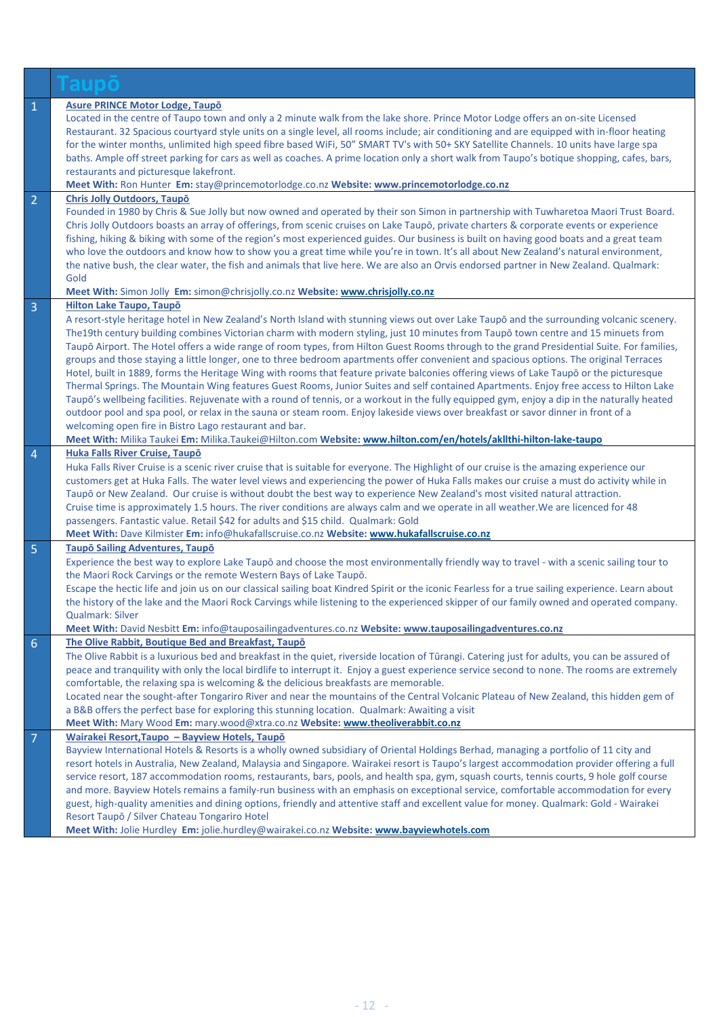|                | Taupo                                                                                                                                                                                                                                                                                                                                                                                                                                                                                                                                                                                                                                                                                                                                                                                                                                                                                                                                                                                                                                                                                                                                                                                                                                                                                                                                                        |
|----------------|--------------------------------------------------------------------------------------------------------------------------------------------------------------------------------------------------------------------------------------------------------------------------------------------------------------------------------------------------------------------------------------------------------------------------------------------------------------------------------------------------------------------------------------------------------------------------------------------------------------------------------------------------------------------------------------------------------------------------------------------------------------------------------------------------------------------------------------------------------------------------------------------------------------------------------------------------------------------------------------------------------------------------------------------------------------------------------------------------------------------------------------------------------------------------------------------------------------------------------------------------------------------------------------------------------------------------------------------------------------|
| $\mathbf{1}$   | Asure PRINCE Motor Lodge, Taupō<br>Located in the centre of Taupo town and only a 2 minute walk from the lake shore. Prince Motor Lodge offers an on-site Licensed<br>Restaurant. 32 Spacious courtyard style units on a single level, all rooms include; air conditioning and are equipped with in-floor heating<br>for the winter months, unlimited high speed fibre based WiFi, 50" SMART TV's with 50+ SKY Satellite Channels. 10 units have large spa                                                                                                                                                                                                                                                                                                                                                                                                                                                                                                                                                                                                                                                                                                                                                                                                                                                                                                   |
|                | baths. Ample off street parking for cars as well as coaches. A prime location only a short walk from Taupo's botique shopping, cafes, bars,<br>restaurants and picturesque lakefront.<br>Meet With: Ron Hunter Em: stay@princemotorlodge.co.nz Website: www.princemotorlodge.co.nz                                                                                                                                                                                                                                                                                                                                                                                                                                                                                                                                                                                                                                                                                                                                                                                                                                                                                                                                                                                                                                                                           |
| $\overline{2}$ | Chris Jolly Outdoors, Taupō                                                                                                                                                                                                                                                                                                                                                                                                                                                                                                                                                                                                                                                                                                                                                                                                                                                                                                                                                                                                                                                                                                                                                                                                                                                                                                                                  |
|                | Founded in 1980 by Chris & Sue Jolly but now owned and operated by their son Simon in partnership with Tuwharetoa Maori Trust Board.<br>Chris Jolly Outdoors boasts an array of offerings, from scenic cruises on Lake Taupō, private charters & corporate events or experience<br>fishing, hiking & biking with some of the region's most experienced guides. Our business is built on having good boats and a great team<br>who love the outdoors and know how to show you a great time while you're in town. It's all about New Zealand's natural environment,<br>the native bush, the clear water, the fish and animals that live here. We are also an Orvis endorsed partner in New Zealand. Qualmark:<br>Gold                                                                                                                                                                                                                                                                                                                                                                                                                                                                                                                                                                                                                                          |
|                | Meet With: Simon Jolly Em: simon@chrisjolly.co.nz Website: www.chrisjolly.co.nz                                                                                                                                                                                                                                                                                                                                                                                                                                                                                                                                                                                                                                                                                                                                                                                                                                                                                                                                                                                                                                                                                                                                                                                                                                                                              |
| $\overline{3}$ | Hilton Lake Taupo, Taupo<br>A resort-style heritage hotel in New Zealand's North Island with stunning views out over Lake Taupo and the surrounding volcanic scenery.<br>The 19th century building combines Victorian charm with modern styling, just 10 minutes from Taupō town centre and 15 minuets from<br>Taupō Airport. The Hotel offers a wide range of room types, from Hilton Guest Rooms through to the grand Presidential Suite. For families,<br>groups and those staying a little longer, one to three bedroom apartments offer convenient and spacious options. The original Terraces<br>Hotel, built in 1889, forms the Heritage Wing with rooms that feature private balconies offering views of Lake Taupō or the picturesque<br>Thermal Springs. The Mountain Wing features Guest Rooms, Junior Suites and self contained Apartments. Enjoy free access to Hilton Lake<br>Taupo's wellbeing facilities. Rejuvenate with a round of tennis, or a workout in the fully equipped gym, enjoy a dip in the naturally heated<br>outdoor pool and spa pool, or relax in the sauna or steam room. Enjoy lakeside views over breakfast or savor dinner in front of a<br>welcoming open fire in Bistro Lago restaurant and bar.<br>Meet With: Milika Taukei Em: Milika.Taukei@Hilton.com Website: www.hilton.com/en/hotels/akllthi-hilton-lake-taupo |
|                | Huka Falls River Cruise, Taupō                                                                                                                                                                                                                                                                                                                                                                                                                                                                                                                                                                                                                                                                                                                                                                                                                                                                                                                                                                                                                                                                                                                                                                                                                                                                                                                               |
| $\overline{4}$ | Huka Falls River Cruise is a scenic river cruise that is suitable for everyone. The Highlight of our cruise is the amazing experience our<br>customers get at Huka Falls. The water level views and experiencing the power of Huka Falls makes our cruise a must do activity while in<br>Taupō or New Zealand. Our cruise is without doubt the best way to experience New Zealand's most visited natural attraction.<br>Cruise time is approximately 1.5 hours. The river conditions are always calm and we operate in all weather. We are licenced for 48<br>passengers. Fantastic value. Retail \$42 for adults and \$15 child. Qualmark: Gold<br>Meet With: Dave Kilmister Em: info@hukafallscruise.co.nz Website: www.hukafallscruise.co.nz                                                                                                                                                                                                                                                                                                                                                                                                                                                                                                                                                                                                              |
| $\overline{5}$ | <b>Taupō Sailing Adventures, Taupō</b>                                                                                                                                                                                                                                                                                                                                                                                                                                                                                                                                                                                                                                                                                                                                                                                                                                                                                                                                                                                                                                                                                                                                                                                                                                                                                                                       |
|                | Experience the best way to explore Lake Taupō and choose the most environmentally friendly way to travel - with a scenic sailing tour to<br>the Maori Rock Carvings or the remote Western Bays of Lake Taupō.<br>Escape the hectic life and join us on our classical sailing boat Kindred Spirit or the iconic Fearless for a true sailing experience. Learn about<br>the history of the lake and the Maori Rock Carvings while listening to the experienced skipper of our family owned and operated company.<br>Qualmark: Silver<br>Meet With: David Nesbitt Em: info@tauposailingadventures.co.nz Website: www.tauposailingadventures.co.nz                                                                                                                                                                                                                                                                                                                                                                                                                                                                                                                                                                                                                                                                                                               |
| 6              | The Olive Rabbit, Boutique Bed and Breakfast, Taupo                                                                                                                                                                                                                                                                                                                                                                                                                                                                                                                                                                                                                                                                                                                                                                                                                                                                                                                                                                                                                                                                                                                                                                                                                                                                                                          |
|                | The Olive Rabbit is a luxurious bed and breakfast in the quiet, riverside location of Tūrangi. Catering just for adults, you can be assured of<br>peace and tranquility with only the local birdlife to interrupt it. Enjoy a guest experience service second to none. The rooms are extremely<br>comfortable, the relaxing spa is welcoming & the delicious breakfasts are memorable.<br>Located near the sought-after Tongariro River and near the mountains of the Central Volcanic Plateau of New Zealand, this hidden gem of<br>a B&B offers the perfect base for exploring this stunning location. Qualmark: Awaiting a visit<br>Meet With: Mary Wood Em: mary.wood@xtra.co.nz Website: www.theoliverabbit.co.nz                                                                                                                                                                                                                                                                                                                                                                                                                                                                                                                                                                                                                                       |
| 7              | Wairakei Resort, Taupo - Bayview Hotels, Taupō                                                                                                                                                                                                                                                                                                                                                                                                                                                                                                                                                                                                                                                                                                                                                                                                                                                                                                                                                                                                                                                                                                                                                                                                                                                                                                               |
|                | Bayview International Hotels & Resorts is a wholly owned subsidiary of Oriental Holdings Berhad, managing a portfolio of 11 city and<br>resort hotels in Australia, New Zealand, Malaysia and Singapore. Wairakei resort is Taupo's largest accommodation provider offering a full<br>service resort, 187 accommodation rooms, restaurants, bars, pools, and health spa, gym, squash courts, tennis courts, 9 hole golf course<br>and more. Bayview Hotels remains a family-run business with an emphasis on exceptional service, comfortable accommodation for every<br>guest, high-quality amenities and dining options, friendly and attentive staff and excellent value for money. Qualmark: Gold - Wairakei<br>Resort Taupō / Silver Chateau Tongariro Hotel                                                                                                                                                                                                                                                                                                                                                                                                                                                                                                                                                                                            |
|                | Meet With: Jolie Hurdley Em: jolie.hurdley@wairakei.co.nz Website: www.bayviewhotels.com                                                                                                                                                                                                                                                                                                                                                                                                                                                                                                                                                                                                                                                                                                                                                                                                                                                                                                                                                                                                                                                                                                                                                                                                                                                                     |
|                |                                                                                                                                                                                                                                                                                                                                                                                                                                                                                                                                                                                                                                                                                                                                                                                                                                                                                                                                                                                                                                                                                                                                                                                                                                                                                                                                                              |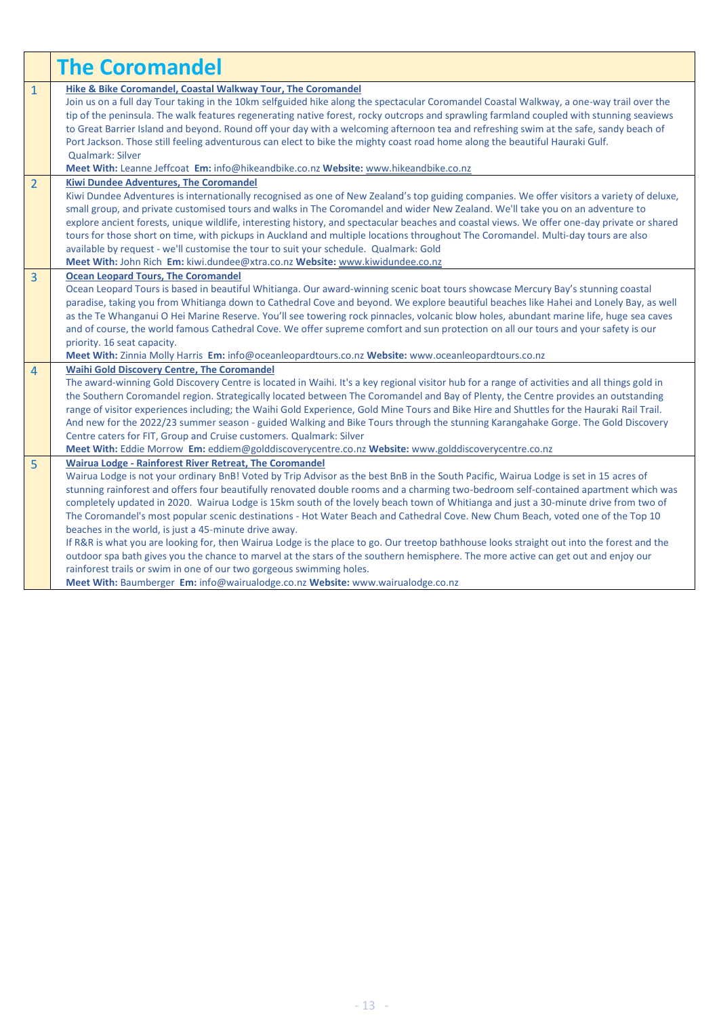|                | <b>The Coromandel</b>                                                                                                                                                                                                                                                                                                                                                                                                                                                                                                                                                                                                                                                                                                                                                                                                                                                                                                                                                                                                                                                                                                             |
|----------------|-----------------------------------------------------------------------------------------------------------------------------------------------------------------------------------------------------------------------------------------------------------------------------------------------------------------------------------------------------------------------------------------------------------------------------------------------------------------------------------------------------------------------------------------------------------------------------------------------------------------------------------------------------------------------------------------------------------------------------------------------------------------------------------------------------------------------------------------------------------------------------------------------------------------------------------------------------------------------------------------------------------------------------------------------------------------------------------------------------------------------------------|
| $\mathbf{1}$   | Hike & Bike Coromandel, Coastal Walkway Tour, The Coromandel<br>Join us on a full day Tour taking in the 10km selfguided hike along the spectacular Coromandel Coastal Walkway, a one-way trail over the<br>tip of the peninsula. The walk features regenerating native forest, rocky outcrops and sprawling farmland coupled with stunning seaviews<br>to Great Barrier Island and beyond. Round off your day with a welcoming afternoon tea and refreshing swim at the safe, sandy beach of<br>Port Jackson. Those still feeling adventurous can elect to bike the mighty coast road home along the beautiful Hauraki Gulf.<br><b>Qualmark: Silver</b><br>Meet With: Leanne Jeffcoat Em: info@hikeandbike.co.nz Website: www.hikeandbike.co.nz                                                                                                                                                                                                                                                                                                                                                                                  |
| $\overline{2}$ | <b>Kiwi Dundee Adventures, The Coromandel</b><br>Kiwi Dundee Adventures is internationally recognised as one of New Zealand's top guiding companies. We offer visitors a variety of deluxe,<br>small group, and private customised tours and walks in The Coromandel and wider New Zealand. We'll take you on an adventure to<br>explore ancient forests, unique wildlife, interesting history, and spectacular beaches and coastal views. We offer one-day private or shared<br>tours for those short on time, with pickups in Auckland and multiple locations throughout The Coromandel. Multi-day tours are also<br>available by request - we'll customise the tour to suit your schedule. Qualmark: Gold<br>Meet With: John Rich Em: kiwi.dundee@xtra.co.nz Website: www.kiwidundee.co.nz                                                                                                                                                                                                                                                                                                                                     |
| 3              | <b>Ocean Leopard Tours, The Coromandel</b><br>Ocean Leopard Tours is based in beautiful Whitianga. Our award-winning scenic boat tours showcase Mercury Bay's stunning coastal<br>paradise, taking you from Whitianga down to Cathedral Cove and beyond. We explore beautiful beaches like Hahei and Lonely Bay, as well<br>as the Te Whanganui O Hei Marine Reserve. You'll see towering rock pinnacles, volcanic blow holes, abundant marine life, huge sea caves<br>and of course, the world famous Cathedral Cove. We offer supreme comfort and sun protection on all our tours and your safety is our<br>priority. 16 seat capacity.<br>Meet With: Zinnia Molly Harris Em: info@oceanleopardtours.co.nz Website: www.oceanleopardtours.co.nz                                                                                                                                                                                                                                                                                                                                                                                 |
| 4              | <b>Waihi Gold Discovery Centre, The Coromandel</b><br>The award-winning Gold Discovery Centre is located in Waihi. It's a key regional visitor hub for a range of activities and all things gold in<br>the Southern Coromandel region. Strategically located between The Coromandel and Bay of Plenty, the Centre provides an outstanding<br>range of visitor experiences including; the Waihi Gold Experience, Gold Mine Tours and Bike Hire and Shuttles for the Hauraki Rail Trail.<br>And new for the 2022/23 summer season - guided Walking and Bike Tours through the stunning Karangahake Gorge. The Gold Discovery<br>Centre caters for FIT, Group and Cruise customers. Qualmark: Silver<br>Meet With: Eddie Morrow Em: eddiem@golddiscoverycentre.co.nz Website: www.golddiscoverycentre.co.nz                                                                                                                                                                                                                                                                                                                          |
| 5              | <b>Wairua Lodge - Rainforest River Retreat, The Coromandel</b><br>Wairua Lodge is not your ordinary BnB! Voted by Trip Advisor as the best BnB in the South Pacific, Wairua Lodge is set in 15 acres of<br>stunning rainforest and offers four beautifully renovated double rooms and a charming two-bedroom self-contained apartment which was<br>completely updated in 2020. Wairua Lodge is 15km south of the lovely beach town of Whitianga and just a 30-minute drive from two of<br>The Coromandel's most popular scenic destinations - Hot Water Beach and Cathedral Cove. New Chum Beach, voted one of the Top 10<br>beaches in the world, is just a 45-minute drive away.<br>If R&R is what you are looking for, then Wairua Lodge is the place to go. Our treetop bathhouse looks straight out into the forest and the<br>outdoor spa bath gives you the chance to marvel at the stars of the southern hemisphere. The more active can get out and enjoy our<br>rainforest trails or swim in one of our two gorgeous swimming holes.<br>Meet With: Baumberger Em: info@wairualodge.co.nz Website: www.wairualodge.co.nz |